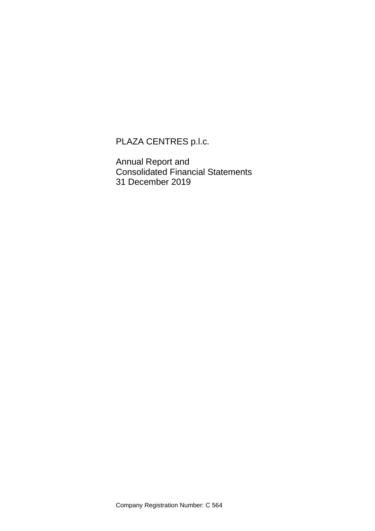PLAZA CENTRES p.l.c.

Annual Report and Consolidated Financial Statements 31 December 2019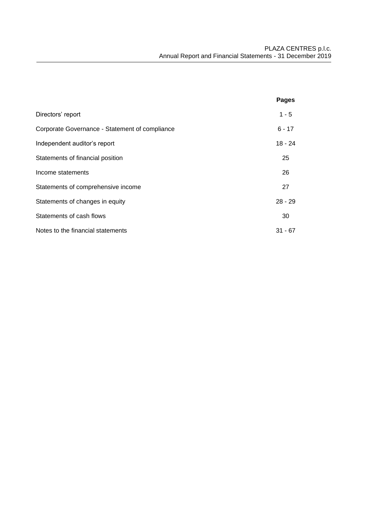|                                                | Pages     |
|------------------------------------------------|-----------|
| Directors' report                              | $1 - 5$   |
| Corporate Governance - Statement of compliance | $6 - 17$  |
| Independent auditor's report                   | 18 - 24   |
| Statements of financial position               | 25        |
| Income statements                              | 26        |
| Statements of comprehensive income             | 27        |
| Statements of changes in equity                | $28 - 29$ |
| Statements of cash flows                       | 30        |
| Notes to the financial statements              | $31 - 67$ |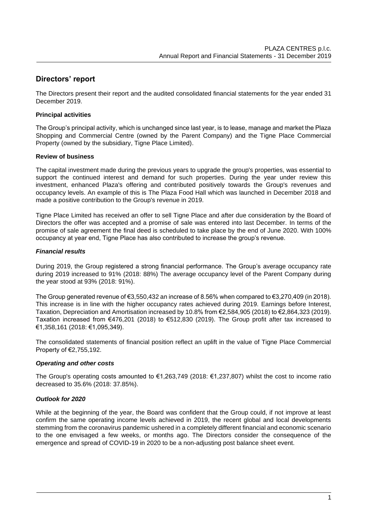# **Directors' report**

The Directors present their report and the audited consolidated financial statements for the year ended 31 December 2019.

## **Principal activities**

The Group's principal activity, which is unchanged since last year, is to lease, manage and market the Plaza Shopping and Commercial Centre (owned by the Parent Company) and the Tigne Place Commercial Property (owned by the subsidiary, Tigne Place Limited).

## **Review of business**

The capital investment made during the previous years to upgrade the group's properties, was essential to support the continued interest and demand for such properties. During the year under review this investment, enhanced Plaza's offering and contributed positively towards the Group's revenues and occupancy levels. An example of this is The Plaza Food Hall which was launched in December 2018 and made a positive contribution to the Group's revenue in 2019.

Tigne Place Limited has received an offer to sell Tigne Place and after due consideration by the Board of Directors the offer was accepted and a promise of sale was entered into last December. In terms of the promise of sale agreement the final deed is scheduled to take place by the end of June 2020. With 100% occupancy at year end, Tigne Place has also contributed to increase the group's revenue.

## *Financial results*

During 2019, the Group registered a strong financial performance. The Group's average occupancy rate during 2019 increased to 91% (2018: 88%) The average occupancy level of the Parent Company during the year stood at 93% (2018: 91%).

The Group generated revenue of €3,550,432 an increase of 8.56% when compared to €3,270,409 (in 2018). This increase is in line with the higher occupancy rates achieved during 2019. Earnings before Interest, Taxation, Depreciation and Amortisation increased by 10.8% from €2,584,905 (2018) to €2,864,323 (2019). Taxation increased from €476,201 (2018) to €512,830 (2019). The Group profit after tax increased to €1,358,161 (2018: €1,095,349).

The consolidated statements of financial position reflect an uplift in the value of Tigne Place Commercial Property of €2,755,192.

#### *Operating and other costs*

The Group's operating costs amounted to €1,263,749 (2018: €1,237,807) whilst the cost to income ratio decreased to 35.6% (2018: 37.85%).

# *Outlook for 2020*

While at the beginning of the year, the Board was confident that the Group could, if not improve at least confirm the same operating income levels achieved in 2019, the recent global and local developments stemming from the coronavirus pandemic ushered in a completely different financial and economic scenario to the one envisaged a few weeks, or months ago. The Directors consider the consequence of the emergence and spread of COVID-19 in 2020 to be a non-adjusting post balance sheet event.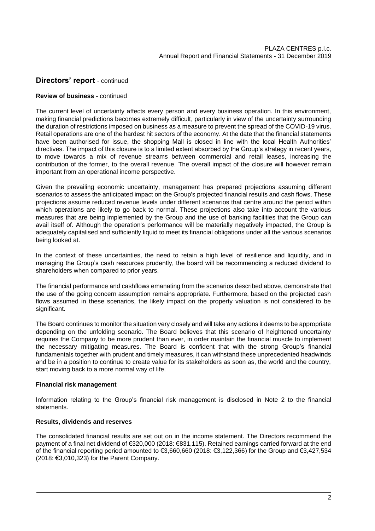### **Review of business** - continued

The current level of uncertainty affects every person and every business operation. In this environment, making financial predictions becomes extremely difficult, particularly in view of the uncertainty surrounding the duration of restrictions imposed on business as a measure to prevent the spread of the COVID-19 virus. Retail operations are one of the hardest hit sectors of the economy. At the date that the financial statements have been authorised for issue, the shopping Mall is closed in line with the local Health Authorities' directives. The impact of this closure is to a limited extent absorbed by the Group's strategy in recent years, to move towards a mix of revenue streams between commercial and retail leases, increasing the contribution of the former, to the overall revenue. The overall impact of the closure will however remain important from an operational income perspective.

Given the prevailing economic uncertainty, management has prepared projections assuming different scenarios to assess the anticipated impact on the Group's projected financial results and cash flows. These projections assume reduced revenue levels under different scenarios that centre around the period within which operations are likely to go back to normal. These projections also take into account the various measures that are being implemented by the Group and the use of banking facilities that the Group can avail itself of. Although the operation's performance will be materially negatively impacted, the Group is adequately capitalised and sufficiently liquid to meet its financial obligations under all the various scenarios being looked at.

In the context of these uncertainties, the need to retain a high level of resilience and liquidity, and in managing the Group's cash resources prudently, the board will be recommending a reduced dividend to shareholders when compared to prior years.

The financial performance and cashflows emanating from the scenarios described above, demonstrate that the use of the going concern assumption remains appropriate. Furthermore, based on the projected cash flows assumed in these scenarios, the likely impact on the property valuation is not considered to be significant.

The Board continues to monitor the situation very closely and will take any actions it deems to be appropriate depending on the unfolding scenario. The Board believes that this scenario of heightened uncertainty requires the Company to be more prudent than ever, in order maintain the financial muscle to implement the necessary mitigating measures. The Board is confident that with the strong Group's financial fundamentals together with prudent and timely measures, it can withstand these unprecedented headwinds and be in a position to continue to create value for its stakeholders as soon as, the world and the country, start moving back to a more normal way of life.

#### **Financial risk management**

Information relating to the Group's financial risk management is disclosed in Note 2 to the financial statements.

#### **Results, dividends and reserves**

The consolidated financial results are set out on in the income statement. The Directors recommend the payment of a final net dividend of €320,000 (2018: €831,115). Retained earnings carried forward at the end of the financial reporting period amounted to €3,660,660 (2018: €3,122,366) for the Group and €3,427,534 (2018: €3,010,323) for the Parent Company.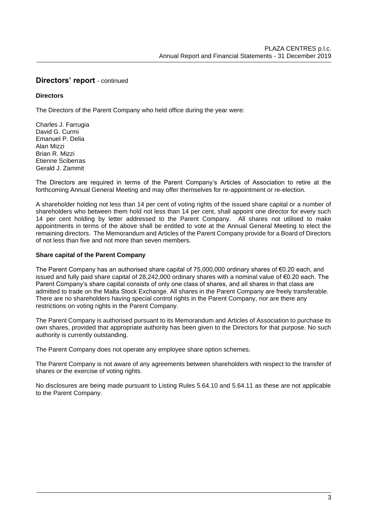## **Directors**

The Directors of the Parent Company who held office during the year were:

Charles J. Farrugia David G. Curmi Emanuel P. Delia Alan Mizzi Brian R. Mizzi Etienne Sciberras Gerald J. Zammit

The Directors are required in terms of the Parent Company's Articles of Association to retire at the forthcoming Annual General Meeting and may offer themselves for re-appointment or re-election.

A shareholder holding not less than 14 per cent of voting rights of the issued share capital or a number of shareholders who between them hold not less than 14 per cent, shall appoint one director for every such 14 per cent holding by letter addressed to the Parent Company. All shares not utilised to make appointments in terms of the above shall be entitled to vote at the Annual General Meeting to elect the remaining directors. The Memorandum and Articles of the Parent Company provide for a Board of Directors of not less than five and not more than seven members.

#### **Share capital of the Parent Company**

The Parent Company has an authorised share capital of 75,000,000 ordinary shares of €0.20 each, and issued and fully paid share capital of 28,242,000 ordinary shares with a nominal value of €0.20 each. The Parent Company's share capital consists of only one class of shares, and all shares in that class are admitted to trade on the Malta Stock Exchange. All shares in the Parent Company are freely transferable. There are no shareholders having special control rights in the Parent Company, nor are there any restrictions on voting rights in the Parent Company.

The Parent Company is authorised pursuant to its Memorandum and Articles of Association to purchase its own shares, provided that appropriate authority has been given to the Directors for that purpose. No such authority is currently outstanding.

The Parent Company does not operate any employee share option schemes.

The Parent Company is not aware of any agreements between shareholders with respect to the transfer of shares or the exercise of voting rights.

No disclosures are being made pursuant to Listing Rules 5.64.10 and 5.64.11 as these are not applicable to the Parent Company.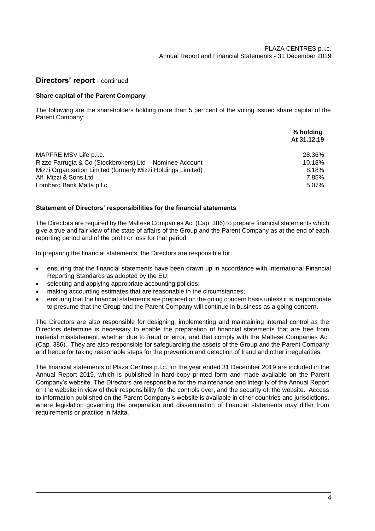## **Share capital of the Parent Company**

The following are the shareholders holding more than 5 per cent of the voting issued share capital of the Parent Company:

|                                                              | % holding   |  |
|--------------------------------------------------------------|-------------|--|
|                                                              | At 31.12.19 |  |
| MAPFRE MSV Life p.l.c.                                       | 28.36%      |  |
| Rizzo Farrugia & Co (Stockbrokers) Ltd - Nominee Account     | 10.18%      |  |
| Mizzi Organisation Limited (formerly Mizzi Holdings Limited) | 8.18%       |  |
| Alf. Mizzi & Sons Ltd                                        | 7.85%       |  |
| Lombard Bank Malta p.l.c.                                    | 5.07%       |  |

#### **Statement of Directors' responsibilities for the financial statements**

The Directors are required by the Maltese Companies Act (Cap. 386) to prepare financial statements which give a true and fair view of the state of affairs of the Group and the Parent Company as at the end of each reporting period and of the profit or loss for that period.

In preparing the financial statements, the Directors are responsible for:

- ensuring that the financial statements have been drawn up in accordance with International Financial Reporting Standards as adopted by the EU;
- selecting and applying appropriate accounting policies;
- making accounting estimates that are reasonable in the circumstances;
- ensuring that the financial statements are prepared on the going concern basis unless it is inappropriate to presume that the Group and the Parent Company will continue in business as a going concern.

The Directors are also responsible for designing, implementing and maintaining internal control as the Directors determine is necessary to enable the preparation of financial statements that are free from material misstatement, whether due to fraud or error, and that comply with the Maltese Companies Act (Cap. 386). They are also responsible for safeguarding the assets of the Group and the Parent Company and hence for taking reasonable steps for the prevention and detection of fraud and other irregularities.

The financial statements of Plaza Centres p.l.c. for the year ended 31 December 2019 are included in the Annual Report 2019, which is published in hard-copy printed form and made available on the Parent Company's website. The Directors are responsible for the maintenance and integrity of the Annual Report on the website in view of their responsibility for the controls over, and the security of, the website. Access to information published on the Parent Company's website is available in other countries and jurisdictions, where legislation governing the preparation and dissemination of financial statements may differ from requirements or practice in Malta.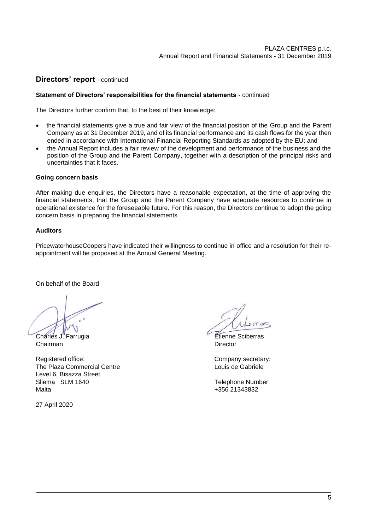#### **Statement of Directors' responsibilities for the financial statements** - continued

The Directors further confirm that, to the best of their knowledge:

- the financial statements give a true and fair view of the financial position of the Group and the Parent Company as at 31 December 2019, and of its financial performance and its cash flows for the year then ended in accordance with International Financial Reporting Standards as adopted by the EU; and
- the Annual Report includes a fair review of the development and performance of the business and the position of the Group and the Parent Company, together with a description of the principal risks and uncertainties that it faces.

#### **Going concern basis**

After making due enquiries, the Directors have a reasonable expectation, at the time of approving the financial statements, that the Group and the Parent Company have adequate resources to continue in operational existence for the foreseeable future. For this reason, the Directors continue to adopt the going concern basis in preparing the financial statements.

#### **Auditors**

PricewaterhouseCoopers have indicated their willingness to continue in office and a resolution for their reappointment will be proposed at the Annual General Meeting.

On behalf of the Board

Charles J. Farrugia **Etienne** Sciberras

**Chairman** Director

Registered office: Company secretary: Company secretary: The Plaza Commercial Centre Louis de Gabriele Level 6, Bisazza Street<br>Sliema SLM 1640 Malta +356 21343832

27 April 2020

Telephone Number: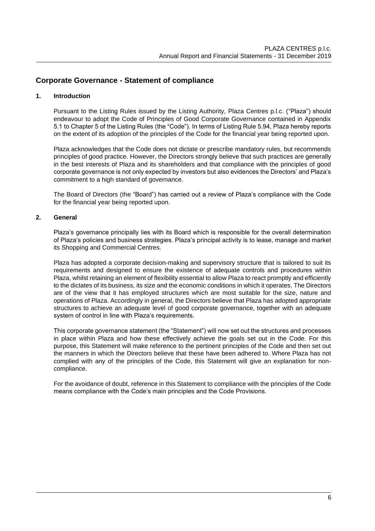# **Corporate Governance - Statement of compliance**

#### **1. Introduction**

Pursuant to the Listing Rules issued by the Listing Authority, Plaza Centres p.l.c. ("Plaza") should endeavour to adopt the Code of Principles of Good Corporate Governance contained in Appendix 5.1 to Chapter 5 of the Listing Rules (the "Code"). In terms of Listing Rule 5.94, Plaza hereby reports on the extent of its adoption of the principles of the Code for the financial year being reported upon.

Plaza acknowledges that the Code does not dictate or prescribe mandatory rules, but recommends principles of good practice. However, the Directors strongly believe that such practices are generally in the best interests of Plaza and its shareholders and that compliance with the principles of good corporate governance is not only expected by investors but also evidences the Directors' and Plaza's commitment to a high standard of governance.

The Board of Directors (the "Board") has carried out a review of Plaza's compliance with the Code for the financial year being reported upon.

#### **2. General**

Plaza's governance principally lies with its Board which is responsible for the overall determination of Plaza's policies and business strategies. Plaza's principal activity is to lease, manage and market its Shopping and Commercial Centres.

Plaza has adopted a corporate decision-making and supervisory structure that is tailored to suit its requirements and designed to ensure the existence of adequate controls and procedures within Plaza, whilst retaining an element of flexibility essential to allow Plaza to react promptly and efficiently to the dictates of its business, its size and the economic conditions in which it operates. The Directors are of the view that it has employed structures which are most suitable for the size, nature and operations of Plaza. Accordingly in general, the Directors believe that Plaza has adopted appropriate structures to achieve an adequate level of good corporate governance, together with an adequate system of control in line with Plaza's requirements.

This corporate governance statement (the "Statement") will now set out the structures and processes in place within Plaza and how these effectively achieve the goals set out in the Code. For this purpose, this Statement will make reference to the pertinent principles of the Code and then set out the manners in which the Directors believe that these have been adhered to. Where Plaza has not complied with any of the principles of the Code, this Statement will give an explanation for noncompliance.

For the avoidance of doubt, reference in this Statement to compliance with the principles of the Code means compliance with the Code's main principles and the Code Provisions.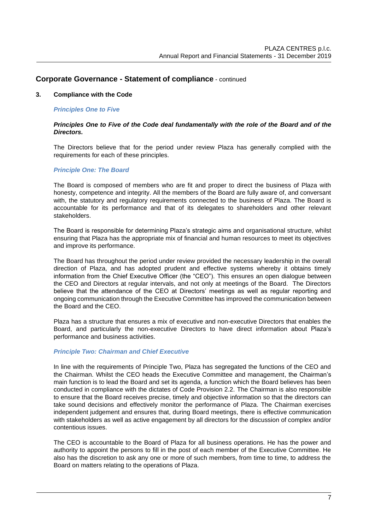#### **3. Compliance with the Code**

#### *Principles One to Five*

#### *Principles One to Five of the Code deal fundamentally with the role of the Board and of the Directors.*

The Directors believe that for the period under review Plaza has generally complied with the requirements for each of these principles.

#### *Principle One: The Board*

The Board is composed of members who are fit and proper to direct the business of Plaza with honesty, competence and integrity. All the members of the Board are fully aware of, and conversant with, the statutory and regulatory requirements connected to the business of Plaza. The Board is accountable for its performance and that of its delegates to shareholders and other relevant stakeholders.

The Board is responsible for determining Plaza's strategic aims and organisational structure, whilst ensuring that Plaza has the appropriate mix of financial and human resources to meet its objectives and improve its performance.

The Board has throughout the period under review provided the necessary leadership in the overall direction of Plaza, and has adopted prudent and effective systems whereby it obtains timely information from the Chief Executive Officer (the "CEO"). This ensures an open dialogue between the CEO and Directors at regular intervals, and not only at meetings of the Board. The Directors believe that the attendance of the CEO at Directors' meetings as well as regular reporting and ongoing communication through the Executive Committee has improved the communication between the Board and the CEO.

Plaza has a structure that ensures a mix of executive and non-executive Directors that enables the Board, and particularly the non-executive Directors to have direct information about Plaza's performance and business activities.

#### *Principle Two: Chairman and Chief Executive*

In line with the requirements of Principle Two, Plaza has segregated the functions of the CEO and the Chairman. Whilst the CEO heads the Executive Committee and management, the Chairman's main function is to lead the Board and set its agenda, a function which the Board believes has been conducted in compliance with the dictates of Code Provision 2.2. The Chairman is also responsible to ensure that the Board receives precise, timely and objective information so that the directors can take sound decisions and effectively monitor the performance of Plaza. The Chairman exercises independent judgement and ensures that, during Board meetings, there is effective communication with stakeholders as well as active engagement by all directors for the discussion of complex and/or contentious issues.

The CEO is accountable to the Board of Plaza for all business operations. He has the power and authority to appoint the persons to fill in the post of each member of the Executive Committee. He also has the discretion to ask any one or more of such members, from time to time, to address the Board on matters relating to the operations of Plaza.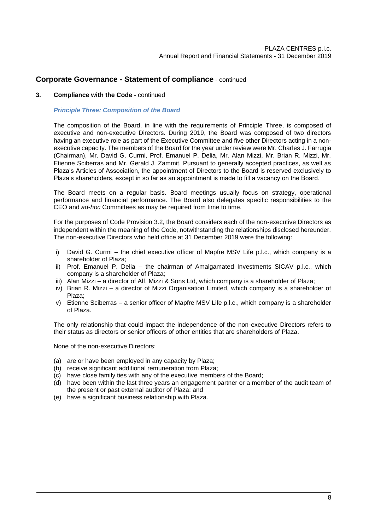#### **3. Compliance with the Code** - continued

#### *Principle Three: Composition of the Board*

The composition of the Board, in line with the requirements of Principle Three, is composed of executive and non-executive Directors. During 2019, the Board was composed of two directors having an executive role as part of the Executive Committee and five other Directors acting in a nonexecutive capacity. The members of the Board for the year under review were Mr. Charles J. Farrugia (Chairman), Mr. David G. Curmi, Prof. Emanuel P. Delia, Mr. Alan Mizzi, Mr. Brian R. Mizzi, Mr. Etienne Sciberras and Mr. Gerald J. Zammit. Pursuant to generally accepted practices, as well as Plaza's Articles of Association, the appointment of Directors to the Board is reserved exclusively to Plaza's shareholders, except in so far as an appointment is made to fill a vacancy on the Board.

The Board meets on a regular basis. Board meetings usually focus on strategy, operational performance and financial performance. The Board also delegates specific responsibilities to the CEO and *ad-hoc* Committees as may be required from time to time.

For the purposes of Code Provision 3.2, the Board considers each of the non-executive Directors as independent within the meaning of the Code, notwithstanding the relationships disclosed hereunder. The non-executive Directors who held office at 31 December 2019 were the following:

- i) David G. Curmi the chief executive officer of Mapfre MSV Life p.l.c., which company is a shareholder of Plaza;
- ii) Prof. Emanuel P. Delia the chairman of Amalgamated Investments SICAV p.l.c., which company is a shareholder of Plaza;
- iii) Alan Mizzi a director of Alf. Mizzi & Sons Ltd, which company is a shareholder of Plaza;
- iv) Brian R. Mizzi a director of Mizzi Organisation Limited, which company is a shareholder of Plaza;
- v) Etienne Sciberras a senior officer of Mapfre MSV Life p.l.c., which company is a shareholder of Plaza.

The only relationship that could impact the independence of the non-executive Directors refers to their status as directors or senior officers of other entities that are shareholders of Plaza.

None of the non-executive Directors:

- (a) are or have been employed in any capacity by Plaza;
- (b) receive significant additional remuneration from Plaza;
- (c) have close family ties with any of the executive members of the Board;
- (d) have been within the last three years an engagement partner or a member of the audit team of the present or past external auditor of Plaza; and
- (e) have a significant business relationship with Plaza.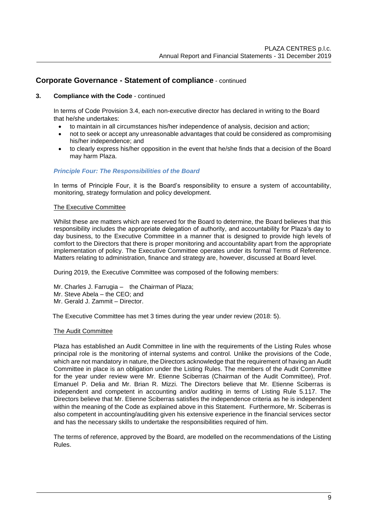#### **3. Compliance with the Code** - continued

In terms of Code Provision 3.4, each non-executive director has declared in writing to the Board that he/she undertakes:

- to maintain in all circumstances his/her independence of analysis, decision and action;
- not to seek or accept any unreasonable advantages that could be considered as compromising his/her independence; and
- to clearly express his/her opposition in the event that he/she finds that a decision of the Board may harm Plaza.

#### *Principle Four: The Responsibilities of the Board*

In terms of Principle Four, it is the Board's responsibility to ensure a system of accountability, monitoring, strategy formulation and policy development.

#### The Executive Committee

Whilst these are matters which are reserved for the Board to determine, the Board believes that this responsibility includes the appropriate delegation of authority, and accountability for Plaza's day to day business, to the Executive Committee in a manner that is designed to provide high levels of comfort to the Directors that there is proper monitoring and accountability apart from the appropriate implementation of policy. The Executive Committee operates under its formal Terms of Reference. Matters relating to administration, finance and strategy are, however, discussed at Board level.

During 2019, the Executive Committee was composed of the following members:

Mr. Charles J. Farrugia – the Chairman of Plaza;

- Mr. Steve Abela the CEO; and
- Mr. Gerald J. Zammit Director.

The Executive Committee has met 3 times during the year under review (2018: 5).

#### The Audit Committee

Plaza has established an Audit Committee in line with the requirements of the Listing Rules whose principal role is the monitoring of internal systems and control. Unlike the provisions of the Code, which are not mandatory in nature, the Directors acknowledge that the requirement of having an Audit Committee in place is an obligation under the Listing Rules. The members of the Audit Committee for the year under review were Mr. Etienne Sciberras (Chairman of the Audit Committee), Prof. Emanuel P. Delia and Mr. Brian R. Mizzi. The Directors believe that Mr. Etienne Sciberras is independent and competent in accounting and/or auditing in terms of Listing Rule 5.117. The Directors believe that Mr. Etienne Sciberras satisfies the independence criteria as he is independent within the meaning of the Code as explained above in this Statement. Furthermore, Mr. Sciberras is also competent in accounting/auditing given his extensive experience in the financial services sector and has the necessary skills to undertake the responsibilities required of him.

The terms of reference, approved by the Board, are modelled on the recommendations of the Listing Rules.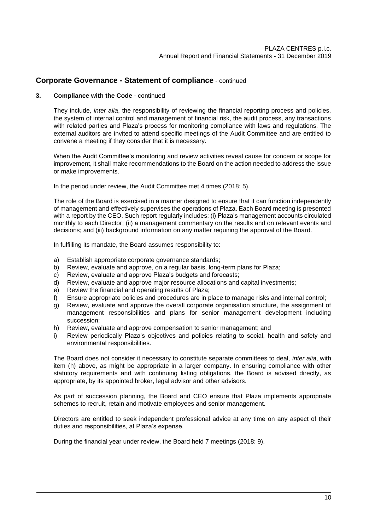#### **3. Compliance with the Code** - continued

They include, *inter alia*, the responsibility of reviewing the financial reporting process and policies, the system of internal control and management of financial risk, the audit process, any transactions with related parties and Plaza's process for monitoring compliance with laws and regulations. The external auditors are invited to attend specific meetings of the Audit Committee and are entitled to convene a meeting if they consider that it is necessary.

When the Audit Committee's monitoring and review activities reveal cause for concern or scope for improvement, it shall make recommendations to the Board on the action needed to address the issue or make improvements.

In the period under review, the Audit Committee met 4 times (2018: 5).

The role of the Board is exercised in a manner designed to ensure that it can function independently of management and effectively supervises the operations of Plaza. Each Board meeting is presented with a report by the CEO. Such report regularly includes: (i) Plaza's management accounts circulated monthly to each Director; (ii) a management commentary on the results and on relevant events and decisions; and (iii) background information on any matter requiring the approval of the Board.

a) Establish appropriate corporate governance standards;

In fulfilling its mandate, the Board assumes responsibility to:

- b) Review, evaluate and approve, on a regular basis, long-term plans for Plaza;
- c) Review, evaluate and approve Plaza's budgets and forecasts;
- d) Review, evaluate and approve major resource allocations and capital investments;
- e) Review the financial and operating results of Plaza;
- f) Ensure appropriate policies and procedures are in place to manage risks and internal control;
- g) Review, evaluate and approve the overall corporate organisation structure, the assignment of management responsibilities and plans for senior management development including succession;
- h) Review, evaluate and approve compensation to senior management; and
- i) Review periodically Plaza's objectives and policies relating to social, health and safety and environmental responsibilities.

The Board does not consider it necessary to constitute separate committees to deal, *inter alia*, with item (h) above, as might be appropriate in a larger company. In ensuring compliance with other statutory requirements and with continuing listing obligations, the Board is advised directly, as appropriate, by its appointed broker, legal advisor and other advisors.

As part of succession planning, the Board and CEO ensure that Plaza implements appropriate schemes to recruit, retain and motivate employees and senior management.

Directors are entitled to seek independent professional advice at any time on any aspect of their duties and responsibilities, at Plaza's expense.

During the financial year under review, the Board held 7 meetings (2018: 9).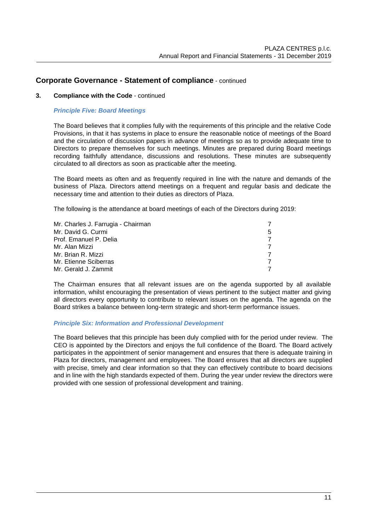#### **3. Compliance with the Code** - continued

#### *Principle Five: Board Meetings*

The Board believes that it complies fully with the requirements of this principle and the relative Code Provisions, in that it has systems in place to ensure the reasonable notice of meetings of the Board and the circulation of discussion papers in advance of meetings so as to provide adequate time to Directors to prepare themselves for such meetings. Minutes are prepared during Board meetings recording faithfully attendance, discussions and resolutions. These minutes are subsequently circulated to all directors as soon as practicable after the meeting.

The Board meets as often and as frequently required in line with the nature and demands of the business of Plaza. Directors attend meetings on a frequent and regular basis and dedicate the necessary time and attention to their duties as directors of Plaza.

The following is the attendance at board meetings of each of the Directors during 2019:

| Mr. Charles J. Farrugia - Chairman |   |
|------------------------------------|---|
| Mr. David G. Curmi                 | 5 |
| Prof. Emanuel P. Delia             |   |
| Mr. Alan Mizzi                     |   |
| Mr. Brian R. Mizzi                 |   |
| Mr. Etienne Sciberras              |   |
| Mr. Gerald J. Zammit               |   |

The Chairman ensures that all relevant issues are on the agenda supported by all available information, whilst encouraging the presentation of views pertinent to the subject matter and giving all directors every opportunity to contribute to relevant issues on the agenda. The agenda on the Board strikes a balance between long-term strategic and short-term performance issues.

#### *Principle Six: Information and Professional Development*

The Board believes that this principle has been duly complied with for the period under review. The CEO is appointed by the Directors and enjoys the full confidence of the Board. The Board actively participates in the appointment of senior management and ensures that there is adequate training in Plaza for directors, management and employees. The Board ensures that all directors are supplied with precise, timely and clear information so that they can effectively contribute to board decisions and in line with the high standards expected of them. During the year under review the directors were provided with one session of professional development and training.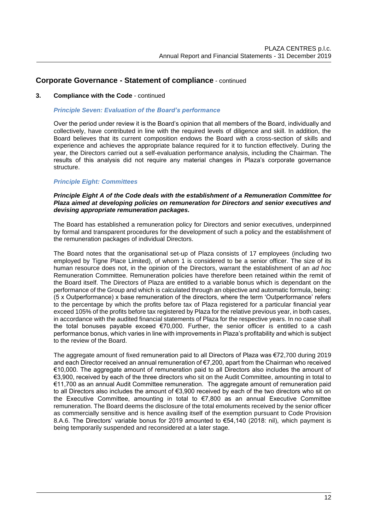#### **3. Compliance with the Code** - continued

#### *Principle Seven: Evaluation of the Board's performance*

Over the period under review it is the Board's opinion that all members of the Board, individually and collectively, have contributed in line with the required levels of diligence and skill. In addition, the Board believes that its current composition endows the Board with a cross-section of skills and experience and achieves the appropriate balance required for it to function effectively. During the year, the Directors carried out a self-evaluation performance analysis, including the Chairman. The results of this analysis did not require any material changes in Plaza's corporate governance structure.

## *Principle Eight: Committees*

#### *Principle Eight A of the Code deals with the establishment of a Remuneration Committee for Plaza aimed at developing policies on remuneration for Directors and senior executives and devising appropriate remuneration packages.*

The Board has established a remuneration policy for Directors and senior executives, underpinned by formal and transparent procedures for the development of such a policy and the establishment of the remuneration packages of individual Directors.

The Board notes that the organisational set-up of Plaza consists of 17 employees (including two employed by Tigne Place Limited), of whom 1 is considered to be a senior officer. The size of its human resource does not, in the opinion of the Directors, warrant the establishment of an *ad hoc* Remuneration Committee. Remuneration policies have therefore been retained within the remit of the Board itself. The Directors of Plaza are entitled to a variable bonus which is dependant on the performance of the Group and which is calculated through an objective and automatic formula, being: (5 x Outperformance) x base remuneration of the directors, where the term 'Outperformance' refers to the percentage by which the profits before tax of Plaza registered for a particular financial year exceed 105% of the profits before tax registered by Plaza for the relative previous year, in both cases, in accordance with the audited financial statements of Plaza for the respective years. In no case shall the total bonuses payable exceed €70,000. Further, the senior officer is entitled to a cash performance bonus, which varies in line with improvements in Plaza's profitability and which is subject to the review of the Board.

The aggregate amount of fixed remuneration paid to all Directors of Plaza was €72,700 during 2019 and each Director received an annual remuneration of €7,200, apart from the Chairman who received €10,000. The aggregate amount of remuneration paid to all Directors also includes the amount of €3,900, received by each of the three directors who sit on the Audit Committee, amounting in total to €11,700 as an annual Audit Committee remuneration. The aggregate amount of remuneration paid to all Directors also includes the amount of €3,900 received by each of the two directors who sit on the Executive Committee, amounting in total to €7,800 as an annual Executive Committee remuneration. The Board deems the disclosure of the total emoluments received by the senior officer as commercially sensitive and is hence availing itself of the exemption pursuant to Code Provision 8.A.6. The Directors' variable bonus for 2019 amounted to €54,140 (2018: nil), which payment is being temporarily suspended and reconsidered at a later stage.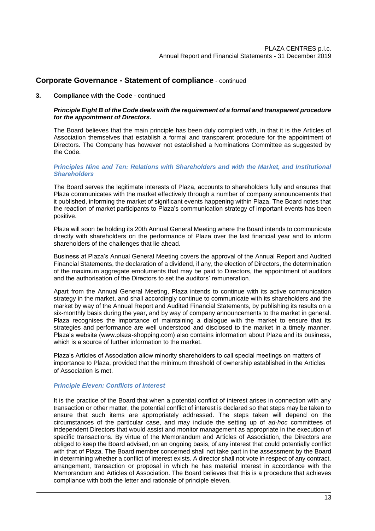#### **3. Compliance with the Code** - continued

#### *Principle Eight B of the Code deals with the requirement of a formal and transparent procedure for the appointment of Directors.*

The Board believes that the main principle has been duly complied with, in that it is the Articles of Association themselves that establish a formal and transparent procedure for the appointment of Directors. The Company has however not established a Nominations Committee as suggested by the Code.

#### *Principles Nine and Ten: Relations with Shareholders and with the Market, and Institutional Shareholders*

The Board serves the legitimate interests of Plaza, accounts to shareholders fully and ensures that Plaza communicates with the market effectively through a number of company announcements that it published, informing the market of significant events happening within Plaza. The Board notes that the reaction of market participants to Plaza's communication strategy of important events has been positive.

Plaza will soon be holding its 20th Annual General Meeting where the Board intends to communicate directly with shareholders on the performance of Plaza over the last financial year and to inform shareholders of the challenges that lie ahead.

Business at Plaza's Annual General Meeting covers the approval of the Annual Report and Audited Financial Statements, the declaration of a dividend, if any, the election of Directors, the determination of the maximum aggregate emoluments that may be paid to Directors, the appointment of auditors and the authorisation of the Directors to set the auditors' remuneration.

Apart from the Annual General Meeting, Plaza intends to continue with its active communication strategy in the market, and shall accordingly continue to communicate with its shareholders and the market by way of the Annual Report and Audited Financial Statements, by publishing its results on a six-monthly basis during the year, and by way of company announcements to the market in general. Plaza recognises the importance of maintaining a dialogue with the market to ensure that its strategies and performance are well understood and disclosed to the market in a timely manner. Plaza's website (www.plaza-shopping.com) also contains information about Plaza and its business, which is a source of further information to the market.

Plaza's Articles of Association allow minority shareholders to call special meetings on matters of importance to Plaza, provided that the minimum threshold of ownership established in the Articles of Association is met.

#### *Principle Eleven: Conflicts of Interest*

It is the practice of the Board that when a potential conflict of interest arises in connection with any transaction or other matter, the potential conflict of interest is declared so that steps may be taken to ensure that such items are appropriately addressed. The steps taken will depend on the circumstances of the particular case, and may include the setting up of *ad-hoc* committees of independent Directors that would assist and monitor management as appropriate in the execution of specific transactions. By virtue of the Memorandum and Articles of Association, the Directors are obliged to keep the Board advised, on an ongoing basis, of any interest that could potentially conflict with that of Plaza. The Board member concerned shall not take part in the assessment by the Board in determining whether a conflict of interest exists. A director shall not vote in respect of any contract, arrangement, transaction or proposal in which he has material interest in accordance with the Memorandum and Articles of Association. The Board believes that this is a procedure that achieves compliance with both the letter and rationale of principle eleven.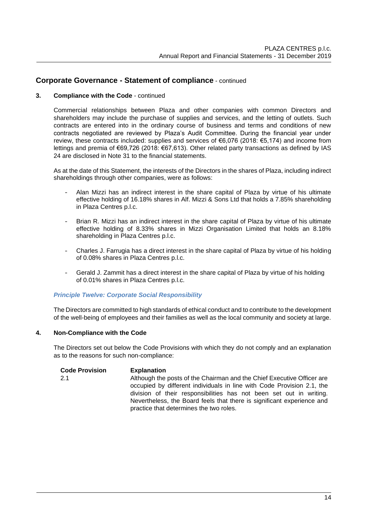#### **3. Compliance with the Code** - continued

Commercial relationships between Plaza and other companies with common Directors and shareholders may include the purchase of supplies and services, and the letting of outlets. Such contracts are entered into in the ordinary course of business and terms and conditions of new contracts negotiated are reviewed by Plaza's Audit Committee. During the financial year under review, these contracts included: supplies and services of €6,076 (2018: €5,174) and income from lettings and premia of €69,726 (2018: €67,613). Other related party transactions as defined by IAS 24 are disclosed in Note 31 to the financial statements.

As at the date of this Statement, the interests of the Directors in the shares of Plaza, including indirect shareholdings through other companies, were as follows:

- Alan Mizzi has an indirect interest in the share capital of Plaza by virtue of his ultimate effective holding of 16.18% shares in Alf. Mizzi & Sons Ltd that holds a 7.85% shareholding in Plaza Centres p.l.c.
- Brian R. Mizzi has an indirect interest in the share capital of Plaza by virtue of his ultimate effective holding of 8.33% shares in Mizzi Organisation Limited that holds an 8.18% shareholding in Plaza Centres p.l.c.
- Charles J. Farrugia has a direct interest in the share capital of Plaza by virtue of his holding of 0.08% shares in Plaza Centres p.l.c.
- Gerald J. Zammit has a direct interest in the share capital of Plaza by virtue of his holding of 0.01% shares in Plaza Centres p.l.c.

#### *Principle Twelve: Corporate Social Responsibility*

The Directors are committed to high standards of ethical conduct and to contribute to the development of the well-being of employees and their families as well as the local community and society at large.

#### **4. Non-Compliance with the Code**

The Directors set out below the Code Provisions with which they do not comply and an explanation as to the reasons for such non-compliance:

| <b>Code Provision</b> | <b>Explanation</b>                                                     |
|-----------------------|------------------------------------------------------------------------|
| 2.1                   | Although the posts of the Chairman and the Chief Executive Officer are |
|                       | occupied by different individuals in line with Code Provision 2.1, the |
|                       | division of their responsibilities has not been set out in writing.    |
|                       | Nevertheless, the Board feels that there is significant experience and |
|                       | practice that determines the two roles.                                |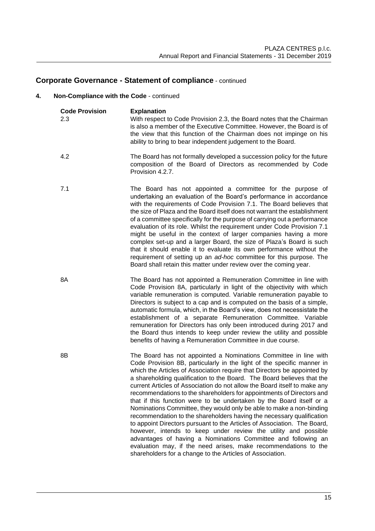# **4. Non-Compliance with the Code** - continued

| <b>Code Provision</b><br>2.3 | <b>Explanation</b><br>With respect to Code Provision 2.3, the Board notes that the Chairman<br>is also a member of the Executive Committee. However, the Board is of<br>the view that this function of the Chairman does not impinge on his<br>ability to bring to bear independent judgement to the Board.                                                                                                                                                                                                                                                                                                                                                                                                                                                                                                                                                                                                                                                                                                                    |
|------------------------------|--------------------------------------------------------------------------------------------------------------------------------------------------------------------------------------------------------------------------------------------------------------------------------------------------------------------------------------------------------------------------------------------------------------------------------------------------------------------------------------------------------------------------------------------------------------------------------------------------------------------------------------------------------------------------------------------------------------------------------------------------------------------------------------------------------------------------------------------------------------------------------------------------------------------------------------------------------------------------------------------------------------------------------|
| 4.2                          | The Board has not formally developed a succession policy for the future<br>composition of the Board of Directors as recommended by Code<br>Provision 4.2.7.                                                                                                                                                                                                                                                                                                                                                                                                                                                                                                                                                                                                                                                                                                                                                                                                                                                                    |
| 7.1                          | The Board has not appointed a committee for the purpose of<br>undertaking an evaluation of the Board's performance in accordance<br>with the requirements of Code Provision 7.1. The Board believes that<br>the size of Plaza and the Board itself does not warrant the establishment<br>of a committee specifically for the purpose of carrying out a performance<br>evaluation of its role. Whilst the requirement under Code Provision 7.1<br>might be useful in the context of larger companies having a more<br>complex set-up and a larger Board, the size of Plaza's Board is such<br>that it should enable it to evaluate its own performance without the<br>requirement of setting up an ad-hoc committee for this purpose. The<br>Board shall retain this matter under review over the coming year.                                                                                                                                                                                                                  |
| 8A                           | The Board has not appointed a Remuneration Committee in line with<br>Code Provision 8A, particularly in light of the objectivity with which<br>variable remuneration is computed. Variable remuneration payable to<br>Directors is subject to a cap and is computed on the basis of a simple,<br>automatic formula, which, in the Board's view, does not necessistate the<br>establishment of a separate Remuneration Committee. Variable<br>remuneration for Directors has only been introduced during 2017 and<br>the Board thus intends to keep under review the utility and possible<br>benefits of having a Remuneration Committee in due course.                                                                                                                                                                                                                                                                                                                                                                         |
| 8B                           | The Board has not appointed a Nominations Committee in line with<br>Code Provision 8B, particularly in the light of the specific manner in<br>which the Articles of Association require that Directors be appointed by<br>a shareholding qualification to the Board. The Board believes that the<br>current Articles of Association do not allow the Board itself to make any<br>recommendations to the shareholders for appointments of Directors and<br>that if this function were to be undertaken by the Board itself or a<br>Nominations Committee, they would only be able to make a non-binding<br>recommendation to the shareholders having the necessary qualification<br>to appoint Directors pursuant to the Articles of Association. The Board,<br>however, intends to keep under review the utility and possible<br>advantages of having a Nominations Committee and following an<br>evaluation may, if the need arises, make recommendations to the<br>shareholders for a change to the Articles of Association. |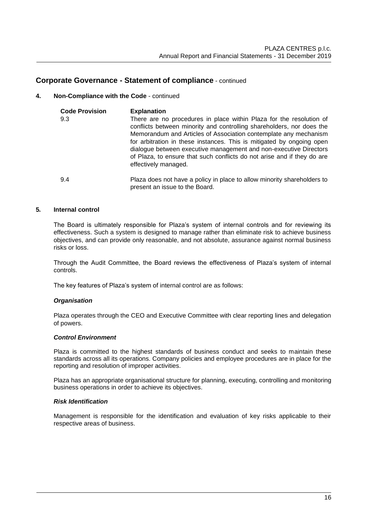#### **4. Non-Compliance with the Code** - continued

| <b>Code Provision</b> | <b>Explanation</b>                                                                                                                                                                                                                                                                                                                                                                                                                                                |
|-----------------------|-------------------------------------------------------------------------------------------------------------------------------------------------------------------------------------------------------------------------------------------------------------------------------------------------------------------------------------------------------------------------------------------------------------------------------------------------------------------|
| 9.3                   | There are no procedures in place within Plaza for the resolution of<br>conflicts between minority and controlling shareholders, nor does the<br>Memorandum and Articles of Association contemplate any mechanism<br>for arbitration in these instances. This is mitigated by ongoing open<br>dialogue between executive management and non-executive Directors<br>of Plaza, to ensure that such conflicts do not arise and if they do are<br>effectively managed. |
| 9.4                   | Plaza does not have a policy in place to allow minority shareholders to<br>present an issue to the Board.                                                                                                                                                                                                                                                                                                                                                         |

#### **5***.* **Internal control**

The Board is ultimately responsible for Plaza's system of internal controls and for reviewing its effectiveness. Such a system is designed to manage rather than eliminate risk to achieve business objectives, and can provide only reasonable, and not absolute, assurance against normal business risks or loss.

Through the Audit Committee, the Board reviews the effectiveness of Plaza's system of internal controls.

The key features of Plaza's system of internal control are as follows:

#### *Organisation*

Plaza operates through the CEO and Executive Committee with clear reporting lines and delegation of powers.

#### *Control Environment*

Plaza is committed to the highest standards of business conduct and seeks to maintain these standards across all its operations. Company policies and employee procedures are in place for the reporting and resolution of improper activities.

Plaza has an appropriate organisational structure for planning, executing, controlling and monitoring business operations in order to achieve its objectives.

#### *Risk Identification*

Management is responsible for the identification and evaluation of key risks applicable to their respective areas of business.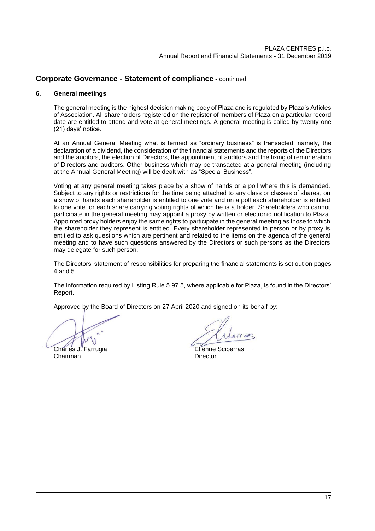### **6. General meetings**

The general meeting is the highest decision making body of Plaza and is regulated by Plaza's Articles of Association. All shareholders registered on the register of members of Plaza on a particular record date are entitled to attend and vote at general meetings. A general meeting is called by twenty-one (21) days' notice.

At an Annual General Meeting what is termed as "ordinary business" is transacted, namely, the declaration of a dividend, the consideration of the financial statements and the reports of the Directors and the auditors, the election of Directors, the appointment of auditors and the fixing of remuneration of Directors and auditors. Other business which may be transacted at a general meeting (including at the Annual General Meeting) will be dealt with as "Special Business".

Voting at any general meeting takes place by a show of hands or a poll where this is demanded. Subject to any rights or restrictions for the time being attached to any class or classes of shares, on a show of hands each shareholder is entitled to one vote and on a poll each shareholder is entitled to one vote for each share carrying voting rights of which he is a holder. Shareholders who cannot participate in the general meeting may appoint a proxy by written or electronic notification to Plaza. Appointed proxy holders enjoy the same rights to participate in the general meeting as those to which the shareholder they represent is entitled. Every shareholder represented in person or by proxy is entitled to ask questions which are pertinent and related to the items on the agenda of the general meeting and to have such questions answered by the Directors or such persons as the Directors may delegate for such person.

The Directors' statement of responsibilities for preparing the financial statements is set out on pages 4 and 5.

The information required by Listing Rule 5.97.5, where applicable for Plaza, is found in the Directors' Report.

Approved by the Board of Directors on 27 April 2020 and signed on its behalf by:

Chairman

Charles J. Farrugia Etienne Sciberras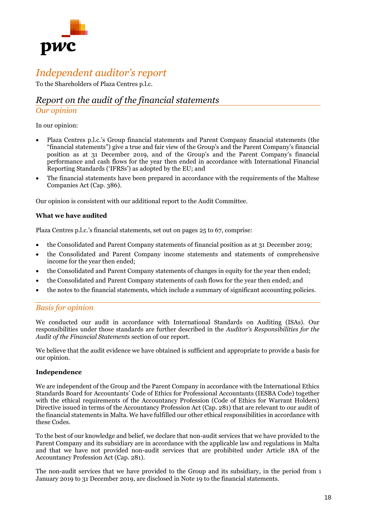

# *Independent auditor's report*

To the Shareholders of Plaza Centres p.l.c.

# *Report on the audit of the financial statements*

# *Our opinion*

In our opinion:

- Plaza Centres p.l.c.'s Group financial statements and Parent Company financial statements (the "financial statements") give a true and fair view of the Group's and the Parent Company's financial position as at 31 December 2019, and of the Group's and the Parent Company's financial performance and cash flows for the year then ended in accordance with International Financial Reporting Standards ('IFRSs') as adopted by the EU; and
- The financial statements have been prepared in accordance with the requirements of the Maltese Companies Act (Cap. 386).

Our opinion is consistent with our additional report to the Audit Committee.

#### **What we have audited**

Plaza Centres p.l.c.'s financial statements, set out on pages 25 to 67, comprise:

- the Consolidated and Parent Company statements of financial position as at 31 December 2019;
- the Consolidated and Parent Company income statements and statements of comprehensive income for the year then ended;
- the Consolidated and Parent Company statements of changes in equity for the year then ended;
- the Consolidated and Parent Company statements of cash flows for the year then ended; and
- the notes to the financial statements, which include a summary of significant accounting policies.

# *Basis for opinion*

We conducted our audit in accordance with International Standards on Auditing (ISAs). Our responsibilities under those standards are further described in the *Auditor's Responsibilities for the Audit of the Financial Statements* section of our report.

We believe that the audit evidence we have obtained is sufficient and appropriate to provide a basis for our opinion.

#### **Independence**

We are independent of the Group and the Parent Company in accordance with the International Ethics Standards Board for Accountants' Code of Ethics for Professional Accountants (IESBA Code) together with the ethical requirements of the Accountancy Profession (Code of Ethics for Warrant Holders) Directive issued in terms of the Accountancy Profession Act (Cap. 281) that are relevant to our audit of the financial statements in Malta. We have fulfilled our other ethical responsibilities in accordance with these Codes.

To the best of our knowledge and belief, we declare that non-audit services that we have provided to the Parent Company and its subsidiary are in accordance with the applicable law and regulations in Malta and that we have not provided non-audit services that are prohibited under Article 18A of the Accountancy Profession Act (Cap. 281).

The non-audit services that we have provided to the Group and its subsidiary, in the period from 1 January 2019 to 31 December 2019, are disclosed in Note 19 to the financial statements.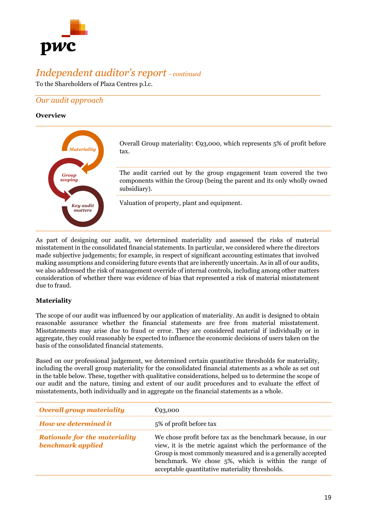

To the Shareholders of Plaza Centres p.l.c.

# *Our audit approach*

#### **Overview**



As part of designing our audit, we determined materiality and assessed the risks of material misstatement in the consolidated financial statements. In particular, we considered where the directors made subjective judgements; for example, in respect of significant accounting estimates that involved making assumptions and considering future events that are inherently uncertain. As in all of our audits, we also addressed the risk of management override of internal controls, including among other matters consideration of whether there was evidence of bias that represented a risk of material misstatement due to fraud.

#### **Materiality**

The scope of our audit was influenced by our application of materiality. An audit is designed to obtain reasonable assurance whether the financial statements are free from material misstatement. Misstatements may arise due to fraud or error. They are considered material if individually or in aggregate, they could reasonably be expected to influence the economic decisions of users taken on the basis of the consolidated financial statements.

Based on our professional judgement, we determined certain quantitative thresholds for materiality, including the overall group materiality for the consolidated financial statements as a whole as set out in the table below. These, together with qualitative considerations, helped us to determine the scope of our audit and the nature, timing and extent of our audit procedures and to evaluate the effect of misstatements, both individually and in aggregate on the financial statements as a whole.

| <b>Overall group materiality</b>                          | €93,000                                                                                                                                                                                                                                                                                              |
|-----------------------------------------------------------|------------------------------------------------------------------------------------------------------------------------------------------------------------------------------------------------------------------------------------------------------------------------------------------------------|
| How we determined it                                      | 5% of profit before tax                                                                                                                                                                                                                                                                              |
| <b>Rationale for the materiality</b><br>benchmark applied | We chose profit before tax as the benchmark because, in our<br>view, it is the metric against which the performance of the<br>Group is most commonly measured and is a generally accepted<br>benchmark. We chose 5%, which is within the range of<br>acceptable quantitative materiality thresholds. |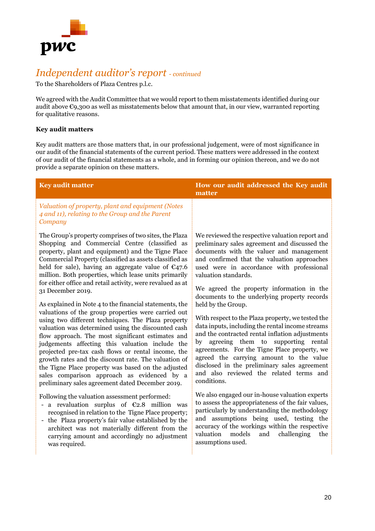

To the Shareholders of Plaza Centres p.l.c.

We agreed with the Audit Committee that we would report to them misstatements identified during our audit above €9,300 as well as misstatements below that amount that, in our view, warranted reporting for qualitative reasons.

#### **Key audit matters**

Key audit matters are those matters that, in our professional judgement, were of most significance in our audit of the financial statements of the current period. These matters were addressed in the context of our audit of the financial statements as a whole, and in forming our opinion thereon, and we do not provide a separate opinion on these matters.

| <b>Key audit matter</b>                                                                                                                                                                                                                                                                                                                                                                                                                                                                                                                        | How our audit addressed the Key audit<br>matter                                                                                                                                                                                                                                                                                                                                                        |
|------------------------------------------------------------------------------------------------------------------------------------------------------------------------------------------------------------------------------------------------------------------------------------------------------------------------------------------------------------------------------------------------------------------------------------------------------------------------------------------------------------------------------------------------|--------------------------------------------------------------------------------------------------------------------------------------------------------------------------------------------------------------------------------------------------------------------------------------------------------------------------------------------------------------------------------------------------------|
| Valuation of property, plant and equipment (Notes<br>4 and 11), relating to the Group and the Parent<br>Company                                                                                                                                                                                                                                                                                                                                                                                                                                |                                                                                                                                                                                                                                                                                                                                                                                                        |
| The Group's property comprises of two sites, the Plaza<br>Shopping and Commercial Centre (classified as<br>property, plant and equipment) and the Tigne Place<br>Commercial Property (classified as assets classified as<br>held for sale), having an aggregate value of $\epsilon$ 47.6<br>million. Both properties, which lease units primarily<br>for either office and retail activity, were revalued as at                                                                                                                                | We reviewed the respective valuation report and<br>preliminary sales agreement and discussed the<br>documents with the valuer and management<br>and confirmed that the valuation approaches<br>used were in accordance with professional<br>valuation standards.                                                                                                                                       |
| 31 December 2019.<br>As explained in Note 4 to the financial statements, the                                                                                                                                                                                                                                                                                                                                                                                                                                                                   | We agreed the property information in the<br>documents to the underlying property records<br>held by the Group.                                                                                                                                                                                                                                                                                        |
| valuations of the group properties were carried out<br>using two different techniques. The Plaza property<br>valuation was determined using the discounted cash<br>flow approach. The most significant estimates and<br>judgements affecting this valuation include the<br>projected pre-tax cash flows or rental income, the<br>growth rates and the discount rate. The valuation of<br>the Tigne Place property was based on the adjusted<br>sales comparison approach as evidenced by a<br>preliminary sales agreement dated December 2019. | With respect to the Plaza property, we tested the<br>data inputs, including the rental income streams<br>and the contracted rental inflation adjustments<br>by agreeing them to supporting rental<br>agreements. For the Tigne Place property, we<br>agreed the carrying amount to the value<br>disclosed in the preliminary sales agreement<br>and also reviewed the related terms and<br>conditions. |
| Following the valuation assessment performed:<br>- a revaluation surplus of $\epsilon$ 2.8 million<br>was<br>recognised in relation to the Tigne Place property;<br>- the Plaza property's fair value established by the<br>architect was not materially different from the<br>carrying amount and accordingly no adjustment<br>was required.                                                                                                                                                                                                  | We also engaged our in-house valuation experts<br>to assess the appropriateness of the fair values,<br>particularly by understanding the methodology<br>and assumptions being used, testing the<br>accuracy of the workings within the respective<br>valuation<br>models<br>and<br>challenging<br>the<br>assumptions used.                                                                             |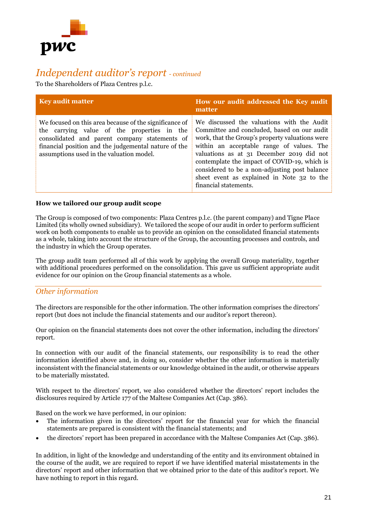

To the Shareholders of Plaza Centres p.l.c.

| <b>Key audit matter</b>                                                                                                                                                                                                                                    | How our audit addressed the Key audit<br>matter                                                                                                                                                                                                                                                                                                                                                                |
|------------------------------------------------------------------------------------------------------------------------------------------------------------------------------------------------------------------------------------------------------------|----------------------------------------------------------------------------------------------------------------------------------------------------------------------------------------------------------------------------------------------------------------------------------------------------------------------------------------------------------------------------------------------------------------|
| We focused on this area because of the significance of<br>the carrying value of the properties in the<br>consolidated and parent company statements of<br>financial position and the judgemental nature of the<br>assumptions used in the valuation model. | We discussed the valuations with the Audit<br>Committee and concluded, based on our audit<br>work, that the Group's property valuations were<br>within an acceptable range of values. The<br>valuations as at 31 December 2019 did not<br>contemplate the impact of COVID-19, which is<br>considered to be a non-adjusting post balance<br>sheet event as explained in Note 32 to the<br>financial statements. |

#### **How we tailored our group audit scope**

The Group is composed of two components: Plaza Centres p.l.c. (the parent company) and Tigne Place Limited (its wholly owned subsidiary). We tailored the scope of our audit in order to perform sufficient work on both components to enable us to provide an opinion on the consolidated financial statements as a whole, taking into account the structure of the Group, the accounting processes and controls, and the industry in which the Group operates.

The group audit team performed all of this work by applying the overall Group materiality, together with additional procedures performed on the consolidation. This gave us sufficient appropriate audit evidence for our opinion on the Group financial statements as a whole.

# *Other information*

The directors are responsible for the other information. The other information comprises the directors' report (but does not include the financial statements and our auditor's report thereon).

Our opinion on the financial statements does not cover the other information, including the directors' report.

In connection with our audit of the financial statements, our responsibility is to read the other information identified above and, in doing so, consider whether the other information is materially inconsistent with the financial statements or our knowledge obtained in the audit, or otherwise appears to be materially misstated.

With respect to the directors' report, we also considered whether the directors' report includes the disclosures required by Article 177 of the Maltese Companies Act (Cap. 386).

Based on the work we have performed, in our opinion:

- The information given in the directors' report for the financial year for which the financial statements are prepared is consistent with the financial statements; and
- the directors' report has been prepared in accordance with the Maltese Companies Act (Cap. 386).

In addition, in light of the knowledge and understanding of the entity and its environment obtained in the course of the audit, we are required to report if we have identified material misstatements in the directors' report and other information that we obtained prior to the date of this auditor's report. We have nothing to report in this regard.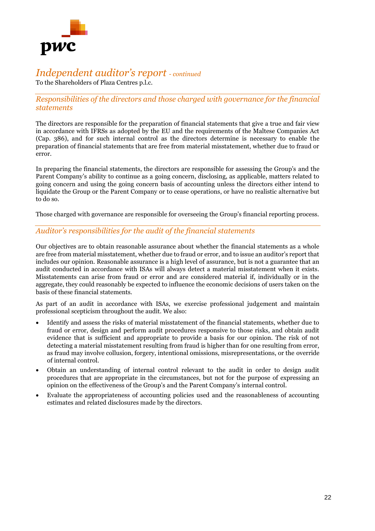

To the Shareholders of Plaza Centres p.l.c.

# *Responsibilities of the directors and those charged with governance for the financial statements*

The directors are responsible for the preparation of financial statements that give a true and fair view in accordance with IFRSs as adopted by the EU and the requirements of the Maltese Companies Act (Cap. 386), and for such internal control as the directors determine is necessary to enable the preparation of financial statements that are free from material misstatement, whether due to fraud or error.

In preparing the financial statements, the directors are responsible for assessing the Group's and the Parent Company's ability to continue as a going concern, disclosing, as applicable, matters related to going concern and using the going concern basis of accounting unless the directors either intend to liquidate the Group or the Parent Company or to cease operations, or have no realistic alternative but to do so.

Those charged with governance are responsible for overseeing the Group's financial reporting process.

# *Auditor's responsibilities for the audit of the financial statements*

Our objectives are to obtain reasonable assurance about whether the financial statements as a whole are free from material misstatement, whether due to fraud or error, and to issue an auditor's report that includes our opinion. Reasonable assurance is a high level of assurance, but is not a guarantee that an audit conducted in accordance with ISAs will always detect a material misstatement when it exists. Misstatements can arise from fraud or error and are considered material if, individually or in the aggregate, they could reasonably be expected to influence the economic decisions of users taken on the basis of these financial statements.

As part of an audit in accordance with ISAs, we exercise professional judgement and maintain professional scepticism throughout the audit. We also:

- Identify and assess the risks of material misstatement of the financial statements, whether due to fraud or error, design and perform audit procedures responsive to those risks, and obtain audit evidence that is sufficient and appropriate to provide a basis for our opinion. The risk of not detecting a material misstatement resulting from fraud is higher than for one resulting from error, as fraud may involve collusion, forgery, intentional omissions, misrepresentations, or the override of internal control.
- Obtain an understanding of internal control relevant to the audit in order to design audit procedures that are appropriate in the circumstances, but not for the purpose of expressing an opinion on the effectiveness of the Group's and the Parent Company's internal control.
- Evaluate the appropriateness of accounting policies used and the reasonableness of accounting estimates and related disclosures made by the directors.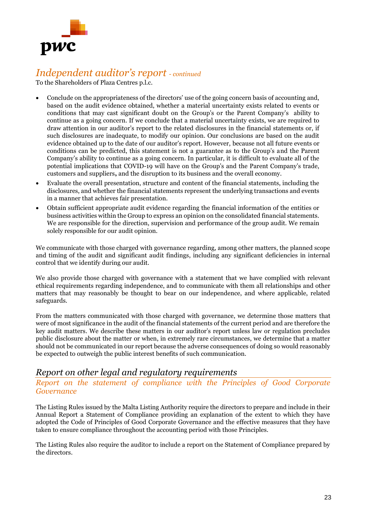

To the Shareholders of Plaza Centres p.l.c.

- Conclude on the appropriateness of the directors' use of the going concern basis of accounting and, based on the audit evidence obtained, whether a material uncertainty exists related to events or conditions that may cast significant doubt on the Group's or the Parent Company's ability to continue as a going concern. If we conclude that a material uncertainty exists, we are required to draw attention in our auditor's report to the related disclosures in the financial statements or, if such disclosures are inadequate, to modify our opinion. Our conclusions are based on the audit evidence obtained up to the date of our auditor's report. However, because not all future events or conditions can be predicted, this statement is not a guarantee as to the Group's and the Parent Company's ability to continue as a going concern. In particular, it is difficult to evaluate all of the potential implications that COVID-19 will have on the Group's and the Parent Company's trade, customers and suppliers**,** and the disruption to its business and the overall economy.
- Evaluate the overall presentation, structure and content of the financial statements, including the disclosures, and whether the financial statements represent the underlying transactions and events in a manner that achieves fair presentation.
- Obtain sufficient appropriate audit evidence regarding the financial information of the entities or business activities within the Group to express an opinion on the consolidated financial statements. We are responsible for the direction, supervision and performance of the group audit. We remain solely responsible for our audit opinion.

We communicate with those charged with governance regarding, among other matters, the planned scope and timing of the audit and significant audit findings, including any significant deficiencies in internal control that we identify during our audit.

We also provide those charged with governance with a statement that we have complied with relevant ethical requirements regarding independence, and to communicate with them all relationships and other matters that may reasonably be thought to bear on our independence, and where applicable, related safeguards.

From the matters communicated with those charged with governance, we determine those matters that were of most significance in the audit of the financial statements of the current period and are therefore the key audit matters. We describe these matters in our auditor's report unless law or regulation precludes public disclosure about the matter or when, in extremely rare circumstances, we determine that a matter should not be communicated in our report because the adverse consequences of doing so would reasonably be expected to outweigh the public interest benefits of such communication.

# *Report on other legal and regulatory requirements*

*Report on the statement of compliance with the Principles of Good Corporate Governance*

The Listing Rules issued by the Malta Listing Authority require the directors to prepare and include in their Annual Report a Statement of Compliance providing an explanation of the extent to which they have adopted the Code of Principles of Good Corporate Governance and the effective measures that they have taken to ensure compliance throughout the accounting period with those Principles.

The Listing Rules also require the auditor to include a report on the Statement of Compliance prepared by the directors.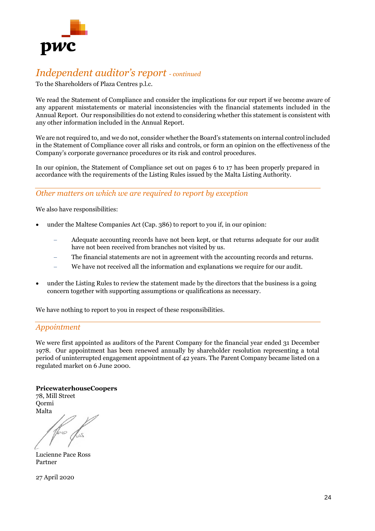

To the Shareholders of Plaza Centres p.l.c.

We read the Statement of Compliance and consider the implications for our report if we become aware of any apparent misstatements or material inconsistencies with the financial statements included in the Annual Report. Our responsibilities do not extend to considering whether this statement is consistent with any other information included in the Annual Report.

We are not required to, and we do not, consider whether the Board's statements on internal control included in the Statement of Compliance cover all risks and controls, or form an opinion on the effectiveness of the Company's corporate governance procedures or its risk and control procedures.

In our opinion, the Statement of Compliance set out on pages 6 to 17 has been properly prepared in accordance with the requirements of the Listing Rules issued by the Malta Listing Authority.

# *Other matters on which we are required to report by exception*

We also have responsibilities:

- under the Maltese Companies Act (Cap. 386) to report to you if, in our opinion:
	- − Adequate accounting records have not been kept, or that returns adequate for our audit have not been received from branches not visited by us.
	- The financial statements are not in agreement with the accounting records and returns.
	- We have not received all the information and explanations we require for our audit.
- under the Listing Rules to review the statement made by the directors that the business is a going concern together with supporting assumptions or qualifications as necessary.

We have nothing to report to you in respect of these responsibilities.

# *Appointment*

We were first appointed as auditors of the Parent Company for the financial year ended 31 December 1978. Our appointment has been renewed annually by shareholder resolution representing a total period of uninterrupted engagement appointment of 42 years. The Parent Company became listed on a regulated market on 6 June 2000.

#### **PricewaterhouseCoopers**

78, Mill Street Qormi Malta

Lucienne Pace Ross Partner

27 April 2020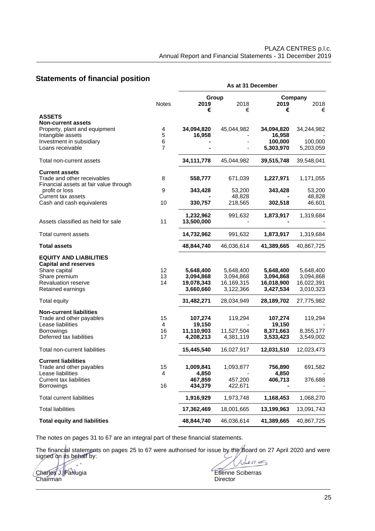# **Statements of financial position**

|                                                                                                                                                  |                               | As at 31 December                                 |                                                   |                                                   |                                                   |
|--------------------------------------------------------------------------------------------------------------------------------------------------|-------------------------------|---------------------------------------------------|---------------------------------------------------|---------------------------------------------------|---------------------------------------------------|
|                                                                                                                                                  | <b>Notes</b>                  | Group<br>2019                                     | 2018                                              | 2019                                              | Company<br>2018                                   |
| <b>ASSETS</b><br><b>Non-current assets</b><br>Property, plant and equipment<br>Intangible assets<br>Investment in subsidiary<br>Loans receivable | 4<br>5<br>6<br>$\overline{7}$ | €<br>34,094,820<br>16,958                         | €<br>45,044,982                                   | €<br>34,094,820<br>16,958<br>100,000<br>5,303,970 | €<br>34,244,982<br>100,000<br>5,203,059           |
| Total non-current assets                                                                                                                         |                               | 34, 111, 778                                      | 45,044,982                                        | 39,515,748                                        | 39,548,041                                        |
| <b>Current assets</b><br>Trade and other receivables<br>Financial assets at fair value through<br>profit or loss<br><b>Current tax assets</b>    | 8<br>9                        | 558,777<br>343,428                                | 671,039<br>53,200<br>48,828                       | 1,227,971<br>343,428                              | 1,171,055<br>53,200<br>48,828                     |
| Cash and cash equivalents                                                                                                                        | 10                            | 330,757                                           | 218,565                                           | 302,518                                           | 46,601                                            |
| Assets classified as held for sale                                                                                                               | 11                            | 1,232,962<br>13,500,000                           | 991,632                                           | 1,873,917                                         | 1,319,684                                         |
| Total current assets                                                                                                                             |                               | 14,732,962                                        | 991,632                                           | 1,873,917                                         | 1,319,684                                         |
| <b>Total assets</b>                                                                                                                              |                               | 48,844,740                                        | 46,036,614                                        | 41,389,665                                        | 40,867,725                                        |
| <b>EQUITY AND LIABILITIES</b><br><b>Capital and reserves</b><br>Share capital<br>Share premium<br>Revaluation reserve<br>Retained earnings       | 12<br>13<br>14                | 5,648,400<br>3,094,868<br>19,078,343<br>3,660,660 | 5,648,400<br>3,094,868<br>16,169,315<br>3,122,366 | 5,648,400<br>3,094,868<br>16,018,900<br>3,427,534 | 5,648,400<br>3,094,868<br>16,022,391<br>3,010,323 |
| <b>Total equity</b>                                                                                                                              |                               | 31,482,271                                        | 28,034,949                                        | 28,189,702                                        | 27,775,982                                        |
| <b>Non-current liabilities</b><br>Trade and other payables<br>Lease liabilities<br>Borrowings<br>Deferred tax liabilities                        | 15<br>4<br>16<br>17           | 107,274<br>19,150<br>11,110,903<br>4,208,213      | 119,294<br>11,527,504<br>4,381,119                | 107,274<br>19,150<br>8,371,663<br>3,533,423       | 119,294<br>8,355,177<br>3,549,002                 |
| Total non-current liabilities                                                                                                                    |                               | 15,445,540                                        | 16,027,917                                        | 12,031,510                                        | 12,023,473                                        |
| <b>Current liabilities</b><br>Trade and other payables<br>Lease liabilities<br>Current tax liabilities<br>Borrowings                             | 15<br>4<br>16                 | 1,009,841<br>4,850<br>467,859<br>434,379          | 1,093,877<br>457,200<br>422,671                   | 756,890<br>4,850<br>406,713                       | 691,582<br>376,688                                |
| Total current liabilities                                                                                                                        |                               | 1,916,929                                         | 1,973,748                                         | 1,168,453                                         | 1,068,270                                         |
| <b>Total liabilities</b>                                                                                                                         |                               | 17,362,469                                        | 18,001,665                                        | 13,199,963                                        | 13,091,743                                        |
| <b>Total equity and liabilities</b>                                                                                                              |                               | 48,844,740                                        | 46,036,614                                        | 41,389,665                                        | 40,867,725                                        |

The notes on pages 31 to 67 are an integral part of these financial statements.

The financial statements on pages 25 to 67 were authorised for issue by the Board on 27 April 2020 and were signed on its behalf by:

Charles J. Farrugia Etienne Sciberras Chairman Director

 $Aeras$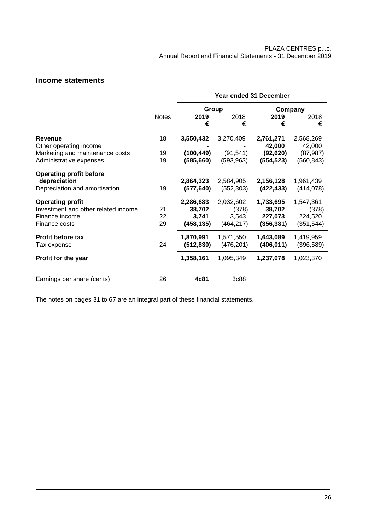# **Income statements**

| <b>Notes</b><br>18 | Group<br>2019<br>€ | 2018<br>€  | Company<br>2019<br>€ | 2018<br>€  |
|--------------------|--------------------|------------|----------------------|------------|
|                    |                    |            |                      |            |
|                    |                    |            |                      |            |
|                    |                    |            |                      |            |
|                    | 3,550,432          | 3,270,409  | 2,761,271            | 2,568,269  |
|                    |                    |            | 42,000               | 42,000     |
| 19                 | (100, 449)         | (91, 541)  | (92, 620)            | (87, 987)  |
| 19                 | (585, 660)         | (593, 963) | (554, 523)           | (560, 843) |
|                    |                    |            |                      |            |
|                    | 2,864,323          | 2,584,905  | 2,156,128            | 1,961,439  |
| 19                 | (577, 640)         | (552, 303) | (422, 433)           | (414, 078) |
|                    | 2,286,683          | 2,032,602  | 1,733,695            | 1,547,361  |
| 21                 | 38,702             | (378)      | 38,702               | (378)      |
| 22                 | 3,741              | 3,543      | 227,073              | 224,520    |
| 29                 | (458, 135)         | (464, 217) | (356, 381)           | (351, 544) |
|                    | 1,870,991          | 1,571,550  | 1,643,089            | 1,419,959  |
| 24                 | (512, 830)         | (476, 201) | (406, 011)           | (396, 589) |
|                    | 1,358,161          | 1,095,349  | 1,237,078            | 1,023,370  |
| 26                 | <b>4c81</b>        | 3c88       |                      |            |
|                    |                    |            |                      |            |

The notes on pages 31 to 67 are an integral part of these financial statements.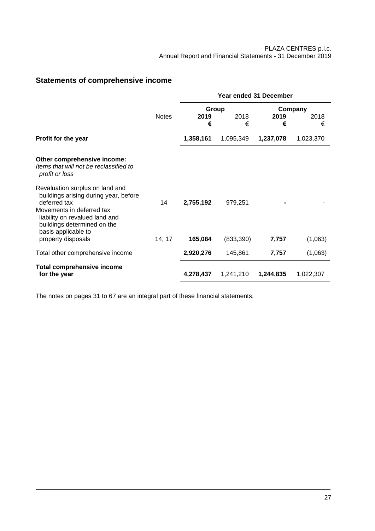# **Statements of comprehensive income**

|                                                                                                                   |              | <b>Year ended 31 December</b> |            |           |           |
|-------------------------------------------------------------------------------------------------------------------|--------------|-------------------------------|------------|-----------|-----------|
|                                                                                                                   |              | Group                         |            | Company   |           |
|                                                                                                                   | <b>Notes</b> | 2019<br>€                     | 2018<br>€  | 2019<br>€ | 2018<br>€ |
| Profit for the year                                                                                               |              | 1,358,161                     | 1,095,349  | 1,237,078 | 1,023,370 |
| Other comprehensive income:<br>Items that will not be reclassified to<br>profit or loss                           |              |                               |            |           |           |
| Revaluation surplus on land and<br>buildings arising during year, before<br>deferred tax                          | 14           | 2,755,192                     | 979,251    |           |           |
| Movements in deferred tax<br>liability on revalued land and<br>buildings determined on the<br>basis applicable to |              |                               |            |           |           |
| property disposals                                                                                                | 14, 17       | 165,084                       | (833, 390) | 7,757     | (1,063)   |
| Total other comprehensive income                                                                                  |              | 2,920,276                     | 145,861    | 7,757     | (1,063)   |
| <b>Total comprehensive income</b><br>for the year                                                                 |              | 4,278,437                     | 1,241,210  | 1,244,835 | 1,022,307 |

The notes on pages 31 to 67 are an integral part of these financial statements.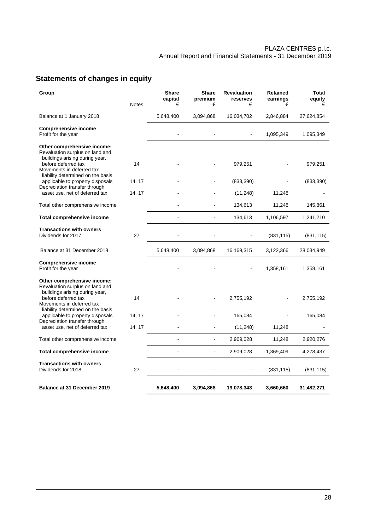# **Statements of changes in equity**

| Group                                                                                                                                                |              | <b>Share</b><br>capital | <b>Share</b><br>premium | <b>Revaluation</b><br>reserves | <b>Retained</b><br>earnings<br>€ | <b>Total</b><br>equity |
|------------------------------------------------------------------------------------------------------------------------------------------------------|--------------|-------------------------|-------------------------|--------------------------------|----------------------------------|------------------------|
|                                                                                                                                                      | <b>Notes</b> | €                       | €                       | €                              |                                  | €                      |
| Balance at 1 January 2018                                                                                                                            |              | 5,648,400               | 3,094,868               | 16,034,702                     | 2,846,884                        | 27,624,854             |
| <b>Comprehensive income</b><br>Profit for the year                                                                                                   |              |                         |                         |                                | 1,095,349                        | 1,095,349              |
| Other comprehensive income:<br>Revaluation surplus on land and<br>buildings arising during year,<br>before deferred tax<br>Movements in deferred tax | 14           |                         |                         | 979,251                        |                                  | 979,251                |
| liability determined on the basis<br>applicable to property disposals                                                                                | 14, 17       |                         |                         | (833, 390)                     |                                  | (833, 390)             |
| Depreciation transfer through<br>asset use, net of deferred tax                                                                                      | 14, 17       |                         |                         | (11,248)                       | 11,248                           |                        |
| Total other comprehensive income                                                                                                                     |              |                         | $\blacksquare$          | 134,613                        | 11,248                           | 145,861                |
| <b>Total comprehensive income</b>                                                                                                                    |              |                         | L.                      | 134,613                        | 1,106,597                        | 1,241,210              |
| <b>Transactions with owners</b><br>Dividends for 2017                                                                                                | 27           |                         |                         |                                | (831, 115)                       | (831, 115)             |
| Balance at 31 December 2018                                                                                                                          |              | 5,648,400               | 3,094,868               | 16,169,315                     | 3,122,366                        | 28,034,949             |
| <b>Comprehensive income</b><br>Profit for the year                                                                                                   |              |                         |                         |                                | 1,358,161                        | 1,358,161              |
| Other comprehensive income:<br>Revaluation surplus on land and<br>buildings arising during year,<br>before deferred tax<br>Movements in deferred tax | 14           |                         |                         | 2,755,192                      |                                  | 2,755,192              |
| liability determined on the basis<br>applicable to property disposals                                                                                | 14, 17       |                         |                         | 165,084                        |                                  | 165,084                |
| Depreciation transfer through<br>asset use, net of deferred tax                                                                                      | 14, 17       |                         |                         | (11,248)                       | 11,248                           |                        |
| Total other comprehensive income                                                                                                                     |              |                         |                         | 2,909,028                      | 11,248                           | 2,920,276              |
| Total comprehensive income                                                                                                                           |              |                         |                         | 2,909,028                      | 1,369,409                        | 4,278,437              |
| <b>Transactions with owners</b><br>Dividends for 2018                                                                                                | 27           |                         |                         |                                | (831, 115)                       | (831, 115)             |
| <b>Balance at 31 December 2019</b>                                                                                                                   |              | 5,648,400               | 3,094,868               | 19,078,343                     | 3,660,660                        | 31,482,271             |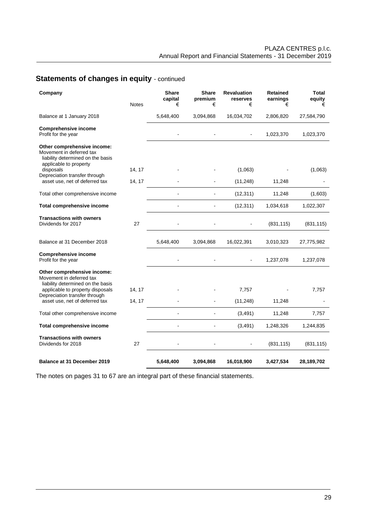# **Statements of changes in equity** - continued

| Company                                                                                                                | <b>Notes</b> | <b>Share</b><br>capital<br>€ | <b>Share</b><br>premium<br>€ | <b>Revaluation</b><br>reserves<br>€ | Retained<br>earnings<br>€ | <b>Total</b><br>equity<br>€ |
|------------------------------------------------------------------------------------------------------------------------|--------------|------------------------------|------------------------------|-------------------------------------|---------------------------|-----------------------------|
| Balance at 1 January 2018                                                                                              |              | 5,648,400                    | 3,094,868                    | 16,034,702                          | 2,806,820                 | 27,584,790                  |
| <b>Comprehensive income</b><br>Profit for the year                                                                     |              |                              |                              |                                     | 1,023,370                 | 1,023,370                   |
| Other comprehensive income:<br>Movement in deferred tax<br>liability determined on the basis<br>applicable to property |              |                              |                              |                                     |                           |                             |
| disposals<br>Depreciation transfer through                                                                             | 14, 17       |                              |                              | (1,063)                             |                           | (1,063)                     |
| asset use, net of deferred tax                                                                                         | 14, 17       |                              |                              | (11, 248)                           | 11,248                    |                             |
| Total other comprehensive income                                                                                       |              |                              | $\blacksquare$               | (12, 311)                           | 11,248                    | (1,603)                     |
| Total comprehensive income                                                                                             |              |                              | $\overline{a}$               | (12, 311)                           | 1,034,618                 | 1,022,307                   |
| <b>Transactions with owners</b><br>Dividends for 2017                                                                  | 27           |                              |                              |                                     | (831, 115)                | (831, 115)                  |
| Balance at 31 December 2018                                                                                            |              | 5,648,400                    | 3,094,868                    | 16,022,391                          | 3,010,323                 | 27,775,982                  |
| <b>Comprehensive income</b><br>Profit for the year                                                                     |              |                              |                              |                                     | 1,237,078                 | 1,237,078                   |
| Other comprehensive income:<br>Movement in deferred tax                                                                |              |                              |                              |                                     |                           |                             |
| liability determined on the basis<br>applicable to property disposals                                                  | 14, 17       |                              |                              | 7,757                               |                           | 7,757                       |
| Depreciation transfer through<br>asset use, net of deferred tax                                                        | 14, 17       |                              |                              | (11,248)                            | 11,248                    |                             |
| Total other comprehensive income                                                                                       |              |                              | $\blacksquare$               | (3, 491)                            | 11,248                    | 7,757                       |
| Total comprehensive income                                                                                             |              |                              |                              | (3, 491)                            | 1,248,326                 | 1,244,835                   |
| <b>Transactions with owners</b><br>Dividends for 2018                                                                  | 27           |                              |                              |                                     | (831, 115)                | (831, 115)                  |
| Balance at 31 December 2019                                                                                            |              | 5,648,400                    | 3,094,868                    | 16,018,900                          | 3,427,534                 | 28,189,702                  |

The notes on pages 31 to 67 are an integral part of these financial statements.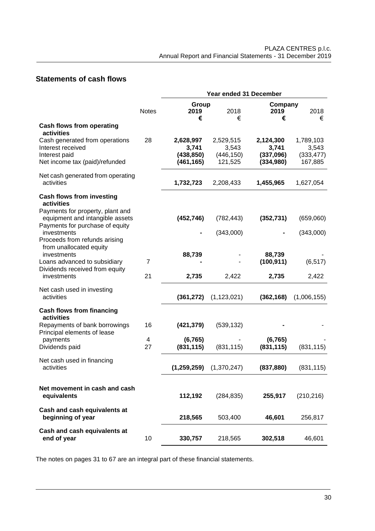# **Statements of cash flows**

|                                                                                                        |              | Year ended 31 December                         |                                             |                                              |                                             |  |
|--------------------------------------------------------------------------------------------------------|--------------|------------------------------------------------|---------------------------------------------|----------------------------------------------|---------------------------------------------|--|
|                                                                                                        | <b>Notes</b> | Group<br>2019<br>€                             | 2018<br>€                                   | Company<br>2019<br>€                         | 2018<br>€                                   |  |
| <b>Cash flows from operating</b><br>activities                                                         |              |                                                |                                             |                                              |                                             |  |
| Cash generated from operations<br>Interest received<br>Interest paid<br>Net income tax (paid)/refunded | 28           | 2,628,997<br>3,741<br>(438, 850)<br>(461, 165) | 2,529,515<br>3,543<br>(446, 150)<br>121,525 | 2,124,300<br>3,741<br>(337,096)<br>(334,980) | 1,789,103<br>3,543<br>(333, 477)<br>167,885 |  |
| Net cash generated from operating<br>activities                                                        |              | 1,732,723                                      | 2,208,433                                   | 1,455,965                                    | 1,627,054                                   |  |
| <b>Cash flows from investing</b><br>activities<br>Payments for property, plant and                     |              |                                                |                                             |                                              |                                             |  |
| equipment and intangible assets<br>Payments for purchase of equity                                     |              | (452, 746)                                     | (782, 443)                                  | (352, 731)                                   | (659,060)                                   |  |
| investments<br>Proceeds from refunds arising<br>from unallocated equity                                |              |                                                | (343,000)                                   |                                              | (343,000)                                   |  |
| investments<br>Loans advanced to subsidiary<br>Dividends received from equity                          | 7            | 88,739                                         |                                             | 88,739<br>(100, 911)                         | (6, 517)                                    |  |
| investments                                                                                            | 21           | 2,735                                          | 2,422                                       | 2,735                                        | 2,422                                       |  |
| Net cash used in investing<br>activities                                                               |              | (361, 272)                                     | (1, 123, 021)                               | (362, 168)                                   | (1,006,155)                                 |  |
| <b>Cash flows from financing</b><br>activities                                                         |              |                                                |                                             |                                              |                                             |  |
| Repayments of bank borrowings<br>Principal elements of lease                                           | 16           | (421, 379)                                     | (539, 132)                                  |                                              |                                             |  |
| payments<br>Dividends paid                                                                             | 4<br>27      | (6, 765)<br>(831, 115)                         | (831, 115)                                  | (6, 765)<br>(831, 115)                       | (831, 115)                                  |  |
| Net cash used in financing<br>activities                                                               |              | (1, 259, 259)                                  | (1,370,247)                                 | (837, 880)                                   | (831, 115)                                  |  |
| Net movement in cash and cash<br>equivalents                                                           |              | 112,192                                        | (284, 835)                                  | 255,917                                      | (210, 216)                                  |  |
| Cash and cash equivalents at<br>beginning of year                                                      |              | 218,565                                        | 503,400                                     | 46,601                                       | 256,817                                     |  |
| Cash and cash equivalents at<br>end of year                                                            | 10           | 330,757                                        | 218,565                                     | 302,518                                      | 46,601                                      |  |

The notes on pages 31 to 67 are an integral part of these financial statements.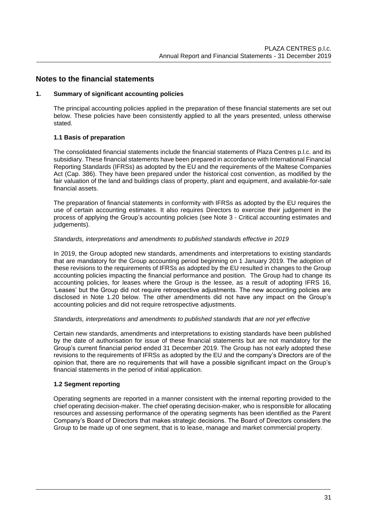# **Notes to the financial statements**

#### **1. Summary of significant accounting policies**

The principal accounting policies applied in the preparation of these financial statements are set out below. These policies have been consistently applied to all the years presented, unless otherwise stated.

#### **1.1 Basis of preparation**

The consolidated financial statements include the financial statements of Plaza Centres p.l.c. and its subsidiary. These financial statements have been prepared in accordance with International Financial Reporting Standards (IFRSs) as adopted by the EU and the requirements of the Maltese Companies Act (Cap. 386). They have been prepared under the historical cost convention, as modified by the fair valuation of the land and buildings class of property, plant and equipment, and available-for-sale financial assets.

The preparation of financial statements in conformity with IFRSs as adopted by the EU requires the use of certain accounting estimates. It also requires Directors to exercise their judgement in the process of applying the Group's accounting policies (see Note 3 - Critical accounting estimates and judgements).

#### *Standards, interpretations and amendments to published standards effective in 2019*

In 2019, the Group adopted new standards, amendments and interpretations to existing standards that are mandatory for the Group accounting period beginning on 1 January 2019. The adoption of these revisions to the requirements of IFRSs as adopted by the EU resulted in changes to the Group accounting policies impacting the financial performance and position. The Group had to change its accounting policies, for leases where the Group is the lessee, as a result of adopting IFRS 16, 'Leases' but the Group did not require retrospective adjustments. The new accounting policies are disclosed in Note 1.20 below. The other amendments did not have any impact on the Group's accounting policies and did not require retrospective adjustments.

#### *Standards, interpretations and amendments to published standards that are not yet effective*

Certain new standards, amendments and interpretations to existing standards have been published by the date of authorisation for issue of these financial statements but are not mandatory for the Group's current financial period ended 31 December 2019. The Group has not early adopted these revisions to the requirements of IFRSs as adopted by the EU and the company's Directors are of the opinion that, there are no requirements that will have a possible significant impact on the Group's financial statements in the period of initial application.

#### **1.2 Segment reporting**

Operating segments are reported in a manner consistent with the internal reporting provided to the chief operating decision-maker. The chief operating decision-maker, who is responsible for allocating resources and assessing performance of the operating segments has been identified as the Parent Company's Board of Directors that makes strategic decisions. The Board of Directors considers the Group to be made up of one segment, that is to lease, manage and market commercial property.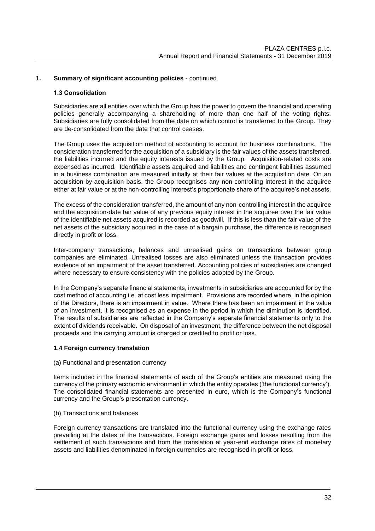#### **1.3 Consolidation**

Subsidiaries are all entities over which the Group has the power to govern the financial and operating policies generally accompanying a shareholding of more than one half of the voting rights. Subsidiaries are fully consolidated from the date on which control is transferred to the Group. They are de-consolidated from the date that control ceases.

The Group uses the acquisition method of accounting to account for business combinations. The consideration transferred for the acquisition of a subsidiary is the fair values of the assets transferred, the liabilities incurred and the equity interests issued by the Group. Acquisition-related costs are expensed as incurred. Identifiable assets acquired and liabilities and contingent liabilities assumed in a business combination are measured initially at their fair values at the acquisition date. On an acquisition-by-acquisition basis, the Group recognises any non-controlling interest in the acquiree either at fair value or at the non-controlling interest's proportionate share of the acquiree's net assets.

The excess of the consideration transferred, the amount of any non-controlling interest in the acquiree and the acquisition-date fair value of any previous equity interest in the acquiree over the fair value of the identifiable net assets acquired is recorded as goodwill. If this is less than the fair value of the net assets of the subsidiary acquired in the case of a bargain purchase, the difference is recognised directly in profit or loss.

Inter-company transactions, balances and unrealised gains on transactions between group companies are eliminated. Unrealised losses are also eliminated unless the transaction provides evidence of an impairment of the asset transferred. Accounting policies of subsidiaries are changed where necessary to ensure consistency with the policies adopted by the Group.

In the Company's separate financial statements, investments in subsidiaries are accounted for by the cost method of accounting i.e. at cost less impairment. Provisions are recorded where, in the opinion of the Directors, there is an impairment in value. Where there has been an impairment in the value of an investment, it is recognised as an expense in the period in which the diminution is identified. The results of subsidiaries are reflected in the Company's separate financial statements only to the extent of dividends receivable. On disposal of an investment, the difference between the net disposal proceeds and the carrying amount is charged or credited to profit or loss.

#### **1.4 Foreign currency translation**

#### (a) Functional and presentation currency

Items included in the financial statements of each of the Group's entities are measured using the currency of the primary economic environment in which the entity operates ('the functional currency'). The consolidated financial statements are presented in euro, which is the Company's functional currency and the Group's presentation currency.

#### (b) Transactions and balances

Foreign currency transactions are translated into the functional currency using the exchange rates prevailing at the dates of the transactions. Foreign exchange gains and losses resulting from the settlement of such transactions and from the translation at year-end exchange rates of monetary assets and liabilities denominated in foreign currencies are recognised in profit or loss.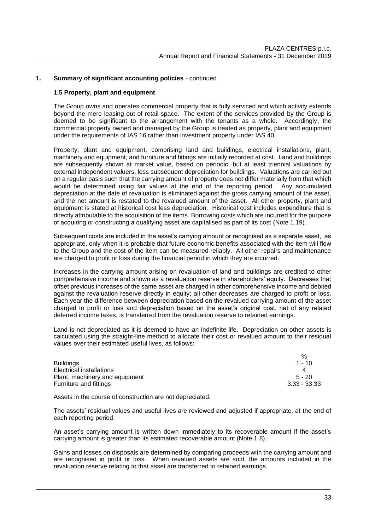#### **1.5 Property, plant and equipment**

The Group owns and operates commercial property that is fully serviced and which activity extends beyond the mere leasing out of retail space. The extent of the services provided by the Group is deemed to be significant to the arrangement with the tenants as a whole. Accordingly, the commercial property owned and managed by the Group is treated as property, plant and equipment under the requirements of IAS 16 rather than investment property under IAS 40.

Property, plant and equipment, comprising land and buildings, electrical installations, plant, machinery and equipment, and furniture and fittings are initially recorded at cost. Land and buildings are subsequently shown at market value, based on periodic, but at least triennial valuations by external independent valuers, less subsequent depreciation for buildings. Valuations are carried out on a regular basis such that the carrying amount of property does not differ materially from that which would be determined using fair values at the end of the reporting period. Any accumulated depreciation at the date of revaluation is eliminated against the gross carrying amount of the asset, and the net amount is restated to the revalued amount of the asset. All other property, plant and equipment is stated at historical cost less depreciation. Historical cost includes expenditure that is directly attributable to the acquisition of the items. Borrowing costs which are incurred for the purpose of acquiring or constructing a qualifying asset are capitalised as part of its cost (Note 1.19).

Subsequent costs are included in the asset's carrying amount or recognised as a separate asset, as appropriate, only when it is probable that future economic benefits associated with the item will flow to the Group and the cost of the item can be measured reliably. All other repairs and maintenance are charged to profit or loss during the financial period in which they are incurred.

Increases in the carrying amount arising on revaluation of land and buildings are credited to other comprehensive income and shown as a revaluation reserve in shareholders' equity. Decreases that offset previous increases of the same asset are charged in other comprehensive income and debited against the revaluation reserve directly in equity; all other decreases are charged to profit or loss. Each year the difference between depreciation based on the revalued carrying amount of the asset charged to profit or loss and depreciation based on the asset's original cost, net of any related deferred income taxes, is transferred from the revaluation reserve to retained earnings.

Land is not depreciated as it is deemed to have an indefinite life. Depreciation on other assets is calculated using the straight-line method to allocate their cost or revalued amount to their residual values over their estimated useful lives, as follows:

|                                | %              |
|--------------------------------|----------------|
| <b>Buildings</b>               | $1 - 10$       |
| Electrical installations       |                |
| Plant, machinery and equipment | $5 - 20$       |
| Furniture and fittings         | $3.33 - 33.33$ |

Assets in the course of construction are not depreciated.

The assets' residual values and useful lives are reviewed and adjusted if appropriate, at the end of each reporting period.

An asset's carrying amount is written down immediately to its recoverable amount if the asset's carrying amount is greater than its estimated recoverable amount (Note 1.8).

Gains and losses on disposals are determined by comparing proceeds with the carrying amount and are recognised in profit or loss. When revalued assets are sold, the amounts included in the revaluation reserve relating to that asset are transferred to retained earnings.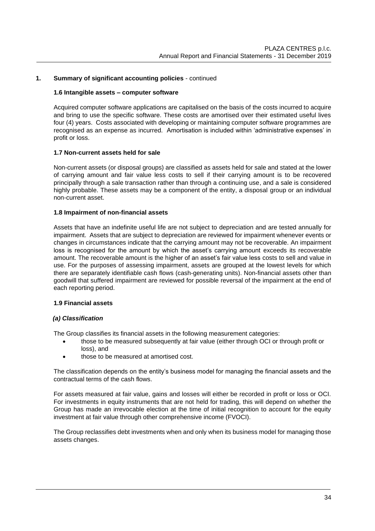### **1.6 Intangible assets – computer software**

Acquired computer software applications are capitalised on the basis of the costs incurred to acquire and bring to use the specific software. These costs are amortised over their estimated useful lives four (4) years. Costs associated with developing or maintaining computer software programmes are recognised as an expense as incurred. Amortisation is included within 'administrative expenses' in profit or loss.

## **1.7 Non-current assets held for sale**

Non-current assets (or disposal groups) are classified as assets held for sale and stated at the lower of carrying amount and fair value less costs to sell if their carrying amount is to be recovered principally through a sale transaction rather than through a continuing use, and a sale is considered highly probable. These assets may be a component of the entity, a disposal group or an individual non-current asset.

#### **1.8 Impairment of non-financial assets**

Assets that have an indefinite useful life are not subject to depreciation and are tested annually for impairment. Assets that are subject to depreciation are reviewed for impairment whenever events or changes in circumstances indicate that the carrying amount may not be recoverable. An impairment loss is recognised for the amount by which the asset's carrying amount exceeds its recoverable amount. The recoverable amount is the higher of an asset's fair value less costs to sell and value in use. For the purposes of assessing impairment, assets are grouped at the lowest levels for which there are separately identifiable cash flows (cash-generating units). Non-financial assets other than goodwill that suffered impairment are reviewed for possible reversal of the impairment at the end of each reporting period.

#### **1.9 Financial assets**

# *(a) Classification*

The Group classifies its financial assets in the following measurement categories:

- those to be measured subsequently at fair value (either through OCI or through profit or loss), and
- those to be measured at amortised cost.

The classification depends on the entity's business model for managing the financial assets and the contractual terms of the cash flows.

For assets measured at fair value, gains and losses will either be recorded in profit or loss or OCI. For investments in equity instruments that are not held for trading, this will depend on whether the Group has made an irrevocable election at the time of initial recognition to account for the equity investment at fair value through other comprehensive income (FVOCI).

The Group reclassifies debt investments when and only when its business model for managing those assets changes.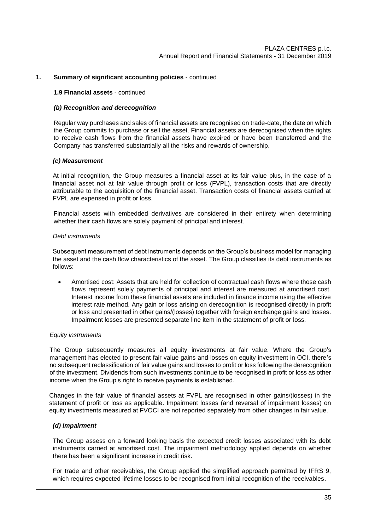#### **1.9 Financial assets** - continued

#### *(b) Recognition and derecognition*

Regular way purchases and sales of financial assets are recognised on trade-date, the date on which the Group commits to purchase or sell the asset. Financial assets are derecognised when the rights to receive cash flows from the financial assets have expired or have been transferred and the Company has transferred substantially all the risks and rewards of ownership.

#### *(c) Measurement*

At initial recognition, the Group measures a financial asset at its fair value plus, in the case of a financial asset not at fair value through profit or loss (FVPL), transaction costs that are directly attributable to the acquisition of the financial asset. Transaction costs of financial assets carried at FVPL are expensed in profit or loss.

Financial assets with embedded derivatives are considered in their entirety when determining whether their cash flows are solely payment of principal and interest.

#### *Debt instruments*

Subsequent measurement of debt instruments depends on the Group's business model for managing the asset and the cash flow characteristics of the asset. The Group classifies its debt instruments as follows:

• Amortised cost: Assets that are held for collection of contractual cash flows where those cash flows represent solely payments of principal and interest are measured at amortised cost. Interest income from these financial assets are included in finance income using the effective interest rate method. Any gain or loss arising on derecognition is recognised directly in profit or loss and presented in other gains/(losses) together with foreign exchange gains and losses. Impairment losses are presented separate line item in the statement of profit or loss.

#### *Equity instruments*

The Group subsequently measures all equity investments at fair value. Where the Group's management has elected to present fair value gains and losses on equity investment in OCI, there's no subsequent reclassification of fair value gains and losses to profit or loss following the derecognition of the investment. Dividends from such investments continue to be recognised in profit or loss as other income when the Group's right to receive payments is established.

Changes in the fair value of financial assets at FVPL are recognised in other gains/(losses) in the statement of profit or loss as applicable. Impairment losses (and reversal of impairment losses) on equity investments measured at FVOCI are not reported separately from other changes in fair value.

#### *(d) Impairment*

The Group assess on a forward looking basis the expected credit losses associated with its debt instruments carried at amortised cost. The impairment methodology applied depends on whether there has been a significant increase in credit risk.

For trade and other receivables, the Group applied the simplified approach permitted by IFRS 9, which requires expected lifetime losses to be recognised from initial recognition of the receivables.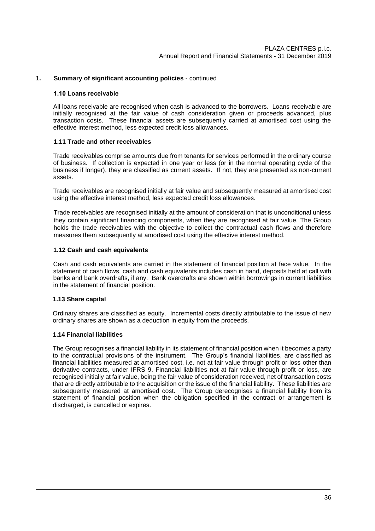#### **1.10 Loans receivable**

All loans receivable are recognised when cash is advanced to the borrowers. Loans receivable are initially recognised at the fair value of cash consideration given or proceeds advanced, plus transaction costs. These financial assets are subsequently carried at amortised cost using the effective interest method, less expected credit loss allowances.

#### **1.11 Trade and other receivables**

Trade receivables comprise amounts due from tenants for services performed in the ordinary course of business. If collection is expected in one year or less (or in the normal operating cycle of the business if longer), they are classified as current assets. If not, they are presented as non-current assets.

Trade receivables are recognised initially at fair value and subsequently measured at amortised cost using the effective interest method, less expected credit loss allowances.

Trade receivables are recognised initially at the amount of consideration that is unconditional unless they contain significant financing components, when they are recognised at fair value. The Group holds the trade receivables with the objective to collect the contractual cash flows and therefore measures them subsequently at amortised cost using the effective interest method.

#### **1.12 Cash and cash equivalents**

Cash and cash equivalents are carried in the statement of financial position at face value. In the statement of cash flows, cash and cash equivalents includes cash in hand, deposits held at call with banks and bank overdrafts, if any. Bank overdrafts are shown within borrowings in current liabilities in the statement of financial position.

#### **1.13 Share capital**

Ordinary shares are classified as equity. Incremental costs directly attributable to the issue of new ordinary shares are shown as a deduction in equity from the proceeds.

#### **1.14 Financial liabilities**

The Group recognises a financial liability in its statement of financial position when it becomes a party to the contractual provisions of the instrument. The Group's financial liabilities, are classified as financial liabilities measured at amortised cost, i.e. not at fair value through profit or loss other than derivative contracts, under IFRS 9. Financial liabilities not at fair value through profit or loss, are recognised initially at fair value, being the fair value of consideration received, net of transaction costs that are directly attributable to the acquisition or the issue of the financial liability. These liabilities are subsequently measured at amortised cost. The Group derecognises a financial liability from its statement of financial position when the obligation specified in the contract or arrangement is discharged, is cancelled or expires.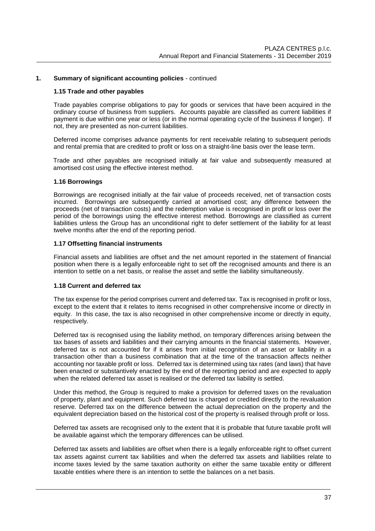#### **1.15 Trade and other payables**

Trade payables comprise obligations to pay for goods or services that have been acquired in the ordinary course of business from suppliers. Accounts payable are classified as current liabilities if payment is due within one year or less (or in the normal operating cycle of the business if longer). If not, they are presented as non-current liabilities.

Deferred income comprises advance payments for rent receivable relating to subsequent periods and rental premia that are credited to profit or loss on a straight-line basis over the lease term.

Trade and other payables are recognised initially at fair value and subsequently measured at amortised cost using the effective interest method.

#### **1.16 Borrowings**

Borrowings are recognised initially at the fair value of proceeds received, net of transaction costs incurred. Borrowings are subsequently carried at amortised cost; any difference between the proceeds (net of transaction costs) and the redemption value is recognised in profit or loss over the period of the borrowings using the effective interest method. Borrowings are classified as current liabilities unless the Group has an unconditional right to defer settlement of the liability for at least twelve months after the end of the reporting period.

#### **1.17 Offsetting financial instruments**

Financial assets and liabilities are offset and the net amount reported in the statement of financial position when there is a legally enforceable right to set off the recognised amounts and there is an intention to settle on a net basis, or realise the asset and settle the liability simultaneously.

#### **1.18 Current and deferred tax**

The tax expense for the period comprises current and deferred tax. Tax is recognised in profit or loss, except to the extent that it relates to items recognised in other comprehensive income or directly in equity. In this case, the tax is also recognised in other comprehensive income or directly in equity, respectively.

Deferred tax is recognised using the liability method, on temporary differences arising between the tax bases of assets and liabilities and their carrying amounts in the financial statements. However, deferred tax is not accounted for if it arises from initial recognition of an asset or liability in a transaction other than a business combination that at the time of the transaction affects neither accounting nor taxable profit or loss. Deferred tax is determined using tax rates (and laws) that have been enacted or substantively enacted by the end of the reporting period and are expected to apply when the related deferred tax asset is realised or the deferred tax liability is settled.

Under this method, the Group is required to make a provision for deferred taxes on the revaluation of property, plant and equipment. Such deferred tax is charged or credited directly to the revaluation reserve. Deferred tax on the difference between the actual depreciation on the property and the equivalent depreciation based on the historical cost of the property is realised through profit or loss.

Deferred tax assets are recognised only to the extent that it is probable that future taxable profit will be available against which the temporary differences can be utilised.

Deferred tax assets and liabilities are offset when there is a legally enforceable right to offset current tax assets against current tax liabilities and when the deferred tax assets and liabilities relate to income taxes levied by the same taxation authority on either the same taxable entity or different taxable entities where there is an intention to settle the balances on a net basis.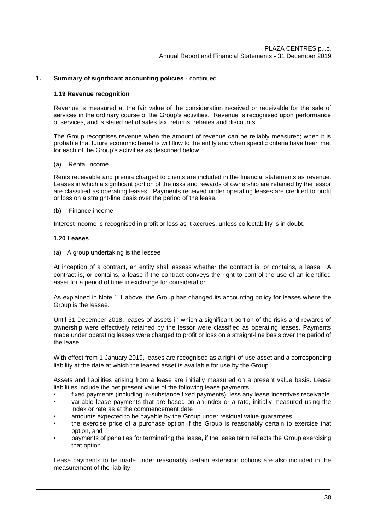#### **1.19 Revenue recognition**

Revenue is measured at the fair value of the consideration received or receivable for the sale of services in the ordinary course of the Group's activities. Revenue is recognised upon performance of services, and is stated net of sales tax, returns, rebates and discounts.

The Group recognises revenue when the amount of revenue can be reliably measured; when it is probable that future economic benefits will flow to the entity and when specific criteria have been met for each of the Group's activities as described below:

#### (a) Rental income

Rents receivable and premia charged to clients are included in the financial statements as revenue. Leases in which a significant portion of the risks and rewards of ownership are retained by the lessor are classified as operating leases. Payments received under operating leases are credited to profit or loss on a straight-line basis over the period of the lease.

#### (b) Finance income

Interest income is recognised in profit or loss as it accrues, unless collectability is in doubt.

#### **1.20 Leases**

(a) A group undertaking is the lessee

At inception of a contract, an entity shall assess whether the contract is, or contains, a lease. A contract is, or contains, a lease if the contract conveys the right to control the use of an identified asset for a period of time in exchange for consideration.

As explained in Note 1.1 above, the Group has changed its accounting policy for leases where the Group is the lessee.

Until 31 December 2018, leases of assets in which a significant portion of the risks and rewards of ownership were effectively retained by the lessor were classified as operating leases. Payments made under operating leases were charged to profit or loss on a straight-line basis over the period of the lease.

With effect from 1 January 2019, leases are recognised as a right-of-use asset and a corresponding liability at the date at which the leased asset is available for use by the Group.

Assets and liabilities arising from a lease are initially measured on a present value basis. Lease liabilities include the net present value of the following lease payments:

- fixed payments (including in-substance fixed payments), less any lease incentives receivable • variable lease payments that are based on an index or a rate, initially measured using the index or rate as at the commencement date
- amounts expected to be payable by the Group under residual value guarantees
- the exercise price of a purchase option if the Group is reasonably certain to exercise that option, and
- payments of penalties for terminating the lease, if the lease term reflects the Group exercising that option.

Lease payments to be made under reasonably certain extension options are also included in the measurement of the liability.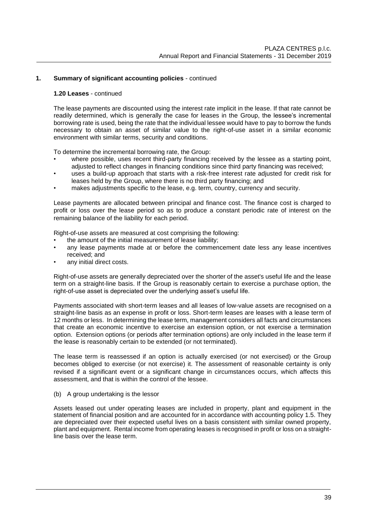#### **1.20 Leases** - continued

The lease payments are discounted using the interest rate implicit in the lease. If that rate cannot be readily determined, which is generally the case for leases in the Group, the lessee's incremental borrowing rate is used, being the rate that the individual lessee would have to pay to borrow the funds necessary to obtain an asset of similar value to the right-of-use asset in a similar economic environment with similar terms, security and conditions.

To determine the incremental borrowing rate, the Group:

- where possible, uses recent third-party financing received by the lessee as a starting point, adjusted to reflect changes in financing conditions since third party financing was received;
- uses a build-up approach that starts with a risk-free interest rate adjusted for credit risk for leases held by the Group, where there is no third party financing; and
- makes adjustments specific to the lease, e.g. term, country, currency and security.

Lease payments are allocated between principal and finance cost. The finance cost is charged to profit or loss over the lease period so as to produce a constant periodic rate of interest on the remaining balance of the liability for each period.

Right-of-use assets are measured at cost comprising the following:

- the amount of the initial measurement of lease liability;
- any lease payments made at or before the commencement date less any lease incentives received; and
- any initial direct costs.

Right-of-use assets are generally depreciated over the shorter of the asset's useful life and the lease term on a straight-line basis. If the Group is reasonably certain to exercise a purchase option, the right-of-use asset is depreciated over the underlying asset's useful life.

Payments associated with short-term leases and all leases of low-value assets are recognised on a straight-line basis as an expense in profit or loss. Short-term leases are leases with a lease term of 12 months or less. In determining the lease term, management considers all facts and circumstances that create an economic incentive to exercise an extension option, or not exercise a termination option. Extension options (or periods after termination options) are only included in the lease term if the lease is reasonably certain to be extended (or not terminated).

The lease term is reassessed if an option is actually exercised (or not exercised) or the Group becomes obliged to exercise (or not exercise) it. The assessment of reasonable certainty is only revised if a significant event or a significant change in circumstances occurs, which affects this assessment, and that is within the control of the lessee.

#### (b) A group undertaking is the lessor

Assets leased out under operating leases are included in property, plant and equipment in the statement of financial position and are accounted for in accordance with accounting policy 1.5. They are depreciated over their expected useful lives on a basis consistent with similar owned property, plant and equipment. Rental income from operating leases is recognised in profit or loss on a straightline basis over the lease term.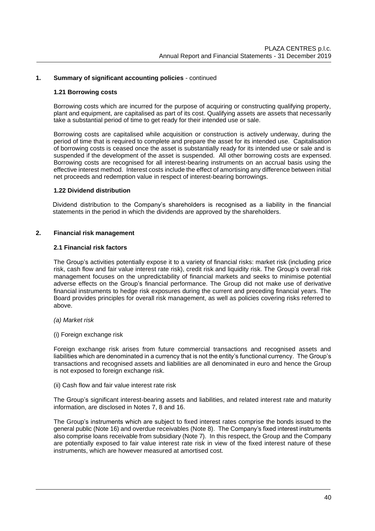#### **1.21 Borrowing costs**

Borrowing costs which are incurred for the purpose of acquiring or constructing qualifying property, plant and equipment, are capitalised as part of its cost. Qualifying assets are assets that necessarily take a substantial period of time to get ready for their intended use or sale.

Borrowing costs are capitalised while acquisition or construction is actively underway, during the period of time that is required to complete and prepare the asset for its intended use. Capitalisation of borrowing costs is ceased once the asset is substantially ready for its intended use or sale and is suspended if the development of the asset is suspended. All other borrowing costs are expensed. Borrowing costs are recognised for all interest-bearing instruments on an accrual basis using the effective interest method. Interest costs include the effect of amortising any difference between initial net proceeds and redemption value in respect of interest-bearing borrowings.

#### **1.22 Dividend distribution**

Dividend distribution to the Company's shareholders is recognised as a liability in the financial statements in the period in which the dividends are approved by the shareholders.

#### **2. Financial risk management**

#### **2.1 Financial risk factors**

The Group's activities potentially expose it to a variety of financial risks: market risk (including price risk, cash flow and fair value interest rate risk), credit risk and liquidity risk. The Group's overall risk management focuses on the unpredictability of financial markets and seeks to minimise potential adverse effects on the Group's financial performance. The Group did not make use of derivative financial instruments to hedge risk exposures during the current and preceding financial years. The Board provides principles for overall risk management, as well as policies covering risks referred to above.

- *(a) Market risk*
- (i) Foreign exchange risk

Foreign exchange risk arises from future commercial transactions and recognised assets and liabilities which are denominated in a currency that is not the entity's functional currency. The Group's transactions and recognised assets and liabilities are all denominated in euro and hence the Group is not exposed to foreign exchange risk.

(ii) Cash flow and fair value interest rate risk

The Group's significant interest-bearing assets and liabilities, and related interest rate and maturity information, are disclosed in Notes 7, 8 and 16.

The Group's instruments which are subject to fixed interest rates comprise the bonds issued to the general public (Note 16) and overdue receivables (Note 8). The Company's fixed interest instruments also comprise loans receivable from subsidiary (Note 7). In this respect, the Group and the Company are potentially exposed to fair value interest rate risk in view of the fixed interest nature of these instruments, which are however measured at amortised cost.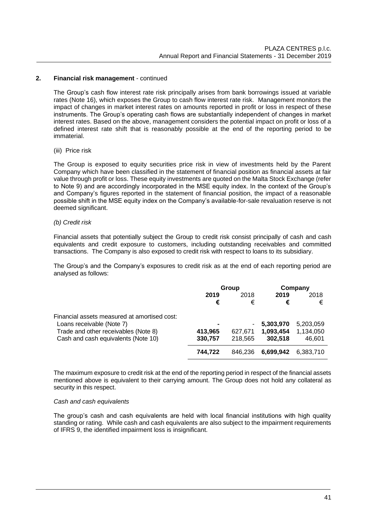The Group's cash flow interest rate risk principally arises from bank borrowings issued at variable rates (Note 16), which exposes the Group to cash flow interest rate risk. Management monitors the impact of changes in market interest rates on amounts reported in profit or loss in respect of these instruments. The Group's operating cash flows are substantially independent of changes in market interest rates. Based on the above, management considers the potential impact on profit or loss of a defined interest rate shift that is reasonably possible at the end of the reporting period to be immaterial.

#### (iii) Price risk

The Group is exposed to equity securities price risk in view of investments held by the Parent Company which have been classified in the statement of financial position as financial assets at fair value through profit or loss. These equity investments are quoted on the Malta Stock Exchange (refer to Note 9) and are accordingly incorporated in the MSE equity index. In the context of the Group's and Company's figures reported in the statement of financial position, the impact of a reasonable possible shift in the MSE equity index on the Company's available-for-sale revaluation reserve is not deemed significant.

#### *(b) Credit risk*

Financial assets that potentially subject the Group to credit risk consist principally of cash and cash equivalents and credit exposure to customers, including outstanding receivables and committed transactions. The Company is also exposed to credit risk with respect to loans to its subsidiary.

The Group's and the Company's exposures to credit risk as at the end of each reporting period are analysed as follows:

|                                              | Group   |                          | Company   |           |
|----------------------------------------------|---------|--------------------------|-----------|-----------|
|                                              | 2019    | 2018                     | 2019      | 2018      |
|                                              | €       | €                        | €         | €         |
| Financial assets measured at amortised cost: |         |                          |           |           |
| Loans receivable (Note 7)                    |         | $\overline{\phantom{a}}$ | 5,303,970 | 5,203,059 |
| Trade and other receivables (Note 8)         | 413,965 | 627,671                  | 1,093,454 | 1,134,050 |
| Cash and cash equivalents (Note 10)          | 330,757 | 218.565                  | 302,518   | 46,601    |
|                                              | 744.722 | 846.236                  | 6.699.942 | 6.383.710 |

The maximum exposure to credit risk at the end of the reporting period in respect of the financial assets mentioned above is equivalent to their carrying amount. The Group does not hold any collateral as security in this respect.

#### *Cash and cash equivalents*

The group's cash and cash equivalents are held with local financial institutions with high quality standing or rating. While cash and cash equivalents are also subject to the impairment requirements of IFRS 9, the identified impairment loss is insignificant.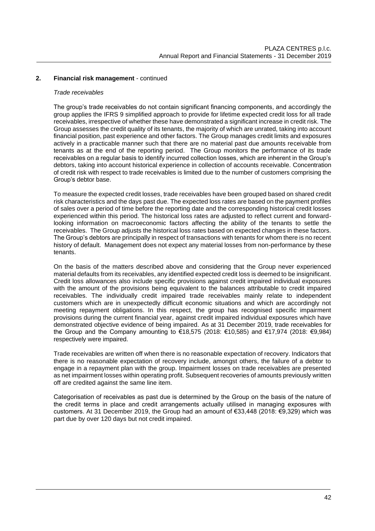#### *Trade receivables*

The group's trade receivables do not contain significant financing components, and accordingly the group applies the IFRS 9 simplified approach to provide for lifetime expected credit loss for all trade receivables, irrespective of whether these have demonstrated a significant increase in credit risk. The Group assesses the credit quality of its tenants, the majority of which are unrated, taking into account financial position, past experience and other factors. The Group manages credit limits and exposures actively in a practicable manner such that there are no material past due amounts receivable from tenants as at the end of the reporting period. The Group monitors the performance of its trade receivables on a regular basis to identify incurred collection losses, which are inherent in the Group's debtors, taking into account historical experience in collection of accounts receivable. Concentration of credit risk with respect to trade receivables is limited due to the number of customers comprising the Group's debtor base.

To measure the expected credit losses, trade receivables have been grouped based on shared credit risk characteristics and the days past due. The expected loss rates are based on the payment profiles of sales over a period of time before the reporting date and the corresponding historical credit losses experienced within this period. The historical loss rates are adjusted to reflect current and forwardlooking information on macroeconomic factors affecting the ability of the tenants to settle the receivables. The Group adjusts the historical loss rates based on expected changes in these factors. The Group's debtors are principally in respect of transactions with tenants for whom there is no recent history of default. Management does not expect any material losses from non-performance by these tenants.

On the basis of the matters described above and considering that the Group never experienced material defaults from its receivables, any identified expected credit loss is deemed to be insignificant. Credit loss allowances also include specific provisions against credit impaired individual exposures with the amount of the provisions being equivalent to the balances attributable to credit impaired receivables. The individually credit impaired trade receivables mainly relate to independent customers which are in unexpectedly difficult economic situations and which are accordingly not meeting repayment obligations. In this respect, the group has recognised specific impairment provisions during the current financial year, against credit impaired individual exposures which have demonstrated objective evidence of being impaired. As at 31 December 2019, trade receivables for the Group and the Company amounting to €18,575 (2018: €10,585) and €17,974 (2018: €9,984) respectively were impaired.

Trade receivables are written off when there is no reasonable expectation of recovery. Indicators that there is no reasonable expectation of recovery include, amongst others, the failure of a debtor to engage in a repayment plan with the group. Impairment losses on trade receivables are presented as net impairment losses within operating profit. Subsequent recoveries of amounts previously written off are credited against the same line item.

Categorisation of receivables as past due is determined by the Group on the basis of the nature of the credit terms in place and credit arrangements actually utilised in managing exposures with customers. At 31 December 2019, the Group had an amount of €33,448 (2018: €9,329) which was part due by over 120 days but not credit impaired.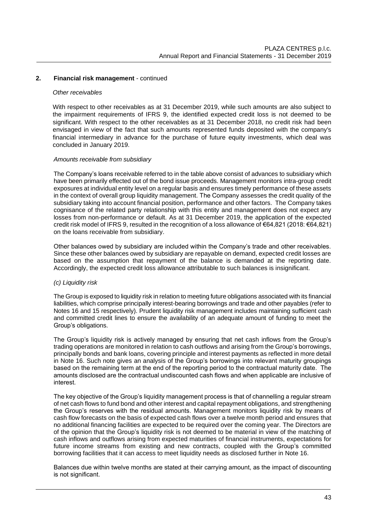#### *Other receivables*

With respect to other receivables as at 31 December 2019, while such amounts are also subject to the impairment requirements of IFRS 9, the identified expected credit loss is not deemed to be significant. With respect to the other receivables as at 31 December 2018, no credit risk had been envisaged in view of the fact that such amounts represented funds deposited with the company's financial intermediary in advance for the purchase of future equity investments, which deal was concluded in January 2019.

#### *Amounts receivable from subsidiary*

The Company's loans receivable referred to in the table above consist of advances to subsidiary which have been primarily effected out of the bond issue proceeds. Management monitors intra-group credit exposures at individual entity level on a regular basis and ensures timely performance of these assets in the context of overall group liquidity management. The Company assesses the credit quality of the subsidiary taking into account financial position, performance and other factors. The Company takes cognisance of the related party relationship with this entity and management does not expect any losses from non-performance or default. As at 31 December 2019, the application of the expected credit risk model of IFRS 9, resulted in the recognition of a loss allowance of €64,821 (2018: €64,821) on the loans receivable from subsidiary.

Other balances owed by subsidiary are included within the Company's trade and other receivables. Since these other balances owed by subsidiary are repayable on demand, expected credit losses are based on the assumption that repayment of the balance is demanded at the reporting date. Accordingly, the expected credit loss allowance attributable to such balances is insignificant.

#### *(c) Liquidity risk*

The Group is exposed to liquidity risk in relation to meeting future obligations associated with its financial liabilities, which comprise principally interest-bearing borrowings and trade and other payables (refer to Notes 16 and 15 respectively). Prudent liquidity risk management includes maintaining sufficient cash and committed credit lines to ensure the availability of an adequate amount of funding to meet the Group's obligations.

The Group's liquidity risk is actively managed by ensuring that net cash inflows from the Group's trading operations are monitored in relation to cash outflows and arising from the Group's borrowings, principally bonds and bank loans, covering principle and interest payments as reflected in more detail in Note 16. Such note gives an analysis of the Group's borrowings into relevant maturity groupings based on the remaining term at the end of the reporting period to the contractual maturity date. The amounts disclosed are the contractual undiscounted cash flows and when applicable are inclusive of interest.

The key objective of the Group's liquidity management process is that of channelling a regular stream of net cash flows to fund bond and other interest and capital repayment obligations, and strengthening the Group's reserves with the residual amounts. Management monitors liquidity risk by means of cash flow forecasts on the basis of expected cash flows over a twelve month period and ensures that no additional financing facilities are expected to be required over the coming year. The Directors are of the opinion that the Group's liquidity risk is not deemed to be material in view of the matching of cash inflows and outflows arising from expected maturities of financial instruments, expectations for future income streams from existing and new contracts, coupled with the Group's committed borrowing facilities that it can access to meet liquidity needs as disclosed further in Note 16.

Balances due within twelve months are stated at their carrying amount, as the impact of discounting is not significant.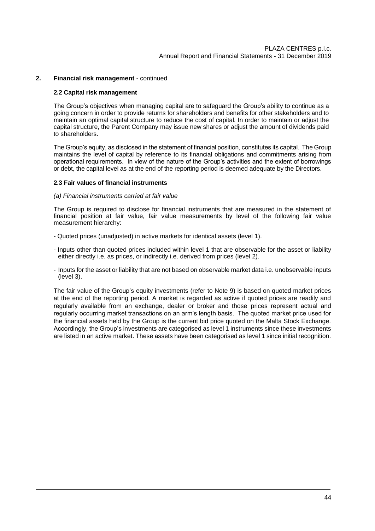#### **2.2 Capital risk management**

The Group's objectives when managing capital are to safeguard the Group's ability to continue as a going concern in order to provide returns for shareholders and benefits for other stakeholders and to maintain an optimal capital structure to reduce the cost of capital. In order to maintain or adjust the capital structure, the Parent Company may issue new shares or adjust the amount of dividends paid to shareholders.

The Group's equity, as disclosed in the statement of financial position, constitutes its capital. The Group maintains the level of capital by reference to its financial obligations and commitments arising from operational requirements. In view of the nature of the Group's activities and the extent of borrowings or debt, the capital level as at the end of the reporting period is deemed adequate by the Directors.

#### **2.3 Fair values of financial instruments**

#### *(a) Financial instruments carried at fair value*

The Group is required to disclose for financial instruments that are measured in the statement of financial position at fair value, fair value measurements by level of the following fair value measurement hierarchy:

- Quoted prices (unadjusted) in active markets for identical assets (level 1).
- Inputs other than quoted prices included within level 1 that are observable for the asset or liability either directly i.e. as prices, or indirectly i.e. derived from prices (level 2).
- Inputs for the asset or liability that are not based on observable market data i.e. unobservable inputs (level 3).

The fair value of the Group's equity investments (refer to Note 9) is based on quoted market prices at the end of the reporting period. A market is regarded as active if quoted prices are readily and regularly available from an exchange, dealer or broker and those prices represent actual and regularly occurring market transactions on an arm's length basis. The quoted market price used for the financial assets held by the Group is the current bid price quoted on the Malta Stock Exchange. Accordingly, the Group's investments are categorised as level 1 instruments since these investments are listed in an active market. These assets have been categorised as level 1 since initial recognition.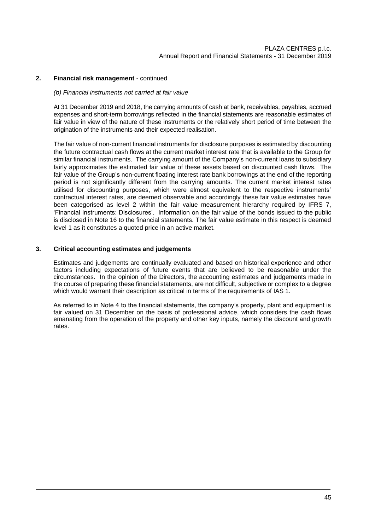#### *(b) Financial instruments not carried at fair value*

At 31 December 2019 and 2018, the carrying amounts of cash at bank, receivables, payables, accrued expenses and short-term borrowings reflected in the financial statements are reasonable estimates of fair value in view of the nature of these instruments or the relatively short period of time between the origination of the instruments and their expected realisation.

The fair value of non-current financial instruments for disclosure purposes is estimated by discounting the future contractual cash flows at the current market interest rate that is available to the Group for similar financial instruments. The carrying amount of the Company's non-current loans to subsidiary fairly approximates the estimated fair value of these assets based on discounted cash flows. The fair value of the Group's non-current floating interest rate bank borrowings at the end of the reporting period is not significantly different from the carrying amounts. The current market interest rates utilised for discounting purposes, which were almost equivalent to the respective instruments' contractual interest rates, are deemed observable and accordingly these fair value estimates have been categorised as level 2 within the fair value measurement hierarchy required by IFRS 7, 'Financial Instruments: Disclosures'. Information on the fair value of the bonds issued to the public is disclosed in Note 16 to the financial statements. The fair value estimate in this respect is deemed level 1 as it constitutes a quoted price in an active market.

#### **3. Critical accounting estimates and judgements**

Estimates and judgements are continually evaluated and based on historical experience and other factors including expectations of future events that are believed to be reasonable under the circumstances. In the opinion of the Directors, the accounting estimates and judgements made in the course of preparing these financial statements, are not difficult, subjective or complex to a degree which would warrant their description as critical in terms of the requirements of IAS 1.

As referred to in Note 4 to the financial statements, the company's property, plant and equipment is fair valued on 31 December on the basis of professional advice, which considers the cash flows emanating from the operation of the property and other key inputs, namely the discount and growth rates.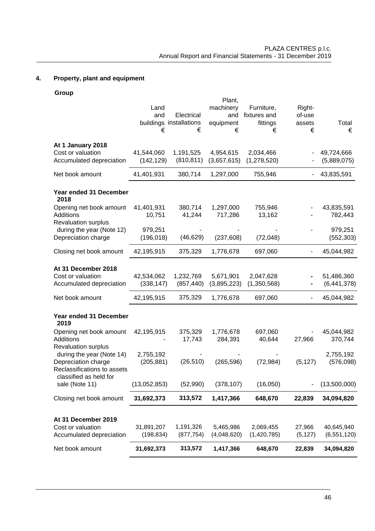# **4. Property, plant and equipment**

**Group**

|                                                                                                           | Land<br>and<br>€         | Electrical<br>buildings installations<br>€ | Plant,<br>machinery<br>and<br>equipment<br>€ | Furniture,<br>fixtures and<br>fittings<br>€ | Right-<br>of-use<br>assets<br>€ | Total<br>€                  |
|-----------------------------------------------------------------------------------------------------------|--------------------------|--------------------------------------------|----------------------------------------------|---------------------------------------------|---------------------------------|-----------------------------|
| At 1 January 2018<br>Cost or valuation<br>Accumulated depreciation                                        | 41,544,060<br>(142, 129) | 1,191,525<br>(810, 811)                    | 4,954,615<br>(3,657,615)                     | 2,034,466<br>(1, 278, 520)                  |                                 | 49,724,666<br>(5,889,075)   |
| Net book amount                                                                                           | 41,401,931               | 380,714                                    | 1,297,000                                    | 755,946                                     |                                 | 43,835,591                  |
| Year ended 31 December<br>2018                                                                            |                          |                                            |                                              |                                             |                                 |                             |
| Opening net book amount<br>Additions<br><b>Revaluation surplus</b>                                        | 41,401,931<br>10,751     | 380,714<br>41,244                          | 1,297,000<br>717,286                         | 755,946<br>13,162                           |                                 | 43,835,591<br>782,443       |
| during the year (Note 12)<br>Depreciation charge                                                          | 979,251<br>(196, 018)    | (46, 629)                                  | (237, 608)                                   | (72, 048)                                   |                                 | 979,251<br>(552, 303)       |
| Closing net book amount                                                                                   | 42,195,915               | 375,329                                    | 1,776,678                                    | 697,060                                     |                                 | 45,044,982                  |
| At 31 December 2018<br>Cost or valuation<br>Accumulated depreciation                                      | 42,534,062<br>(338, 147) | 1,232,769<br>(857, 440)                    | 5,671,901<br>(3,895,223)                     | 2,047,628<br>(1,350,568)                    |                                 | 51,486,360<br>(6,441,378)   |
| Net book amount                                                                                           | 42,195,915               | 375,329                                    | 1,776,678                                    | 697,060                                     |                                 | 45,044,982                  |
| Year ended 31 December<br>2019                                                                            |                          |                                            |                                              |                                             |                                 |                             |
| Opening net book amount<br>Additions<br><b>Revaluation surplus</b>                                        | 42,195,915               | 375,329<br>17,743                          | 1,776,678<br>284,391                         | 697,060<br>40,644                           | 27,966                          | 45,044,982<br>370,744       |
| during the year (Note 14)<br>Depreciation charge<br>Reclassifications to assets<br>classified as held for | 2,755,192<br>(205, 881)  | (26, 510)                                  | (265, 596)                                   | (72, 984)                                   | (5, 127)                        | 2,755,192<br>(576,098)      |
| sale (Note 11)                                                                                            | (13,052,853)             | (52,990)                                   | (378, 107)                                   | (16,050)                                    |                                 | (13,500,000)                |
| Closing net book amount                                                                                   | 31,692,373               | 313,572                                    | 1,417,366                                    | 648,670                                     | 22,839                          | 34,094,820                  |
| At 31 December 2019<br>Cost or valuation<br>Accumulated depreciation                                      | 31,891,207<br>(198, 834) | 1,191,326<br>(877, 754)                    | 5,465,986<br>(4,048,620)                     | 2,069,455<br>(1,420,785)                    | 27,966<br>(5, 127)              | 40,645,940<br>(6, 551, 120) |
| Net book amount                                                                                           | 31,692,373               | 313,572                                    | 1,417,366                                    | 648,670                                     | 22,839                          | 34,094,820                  |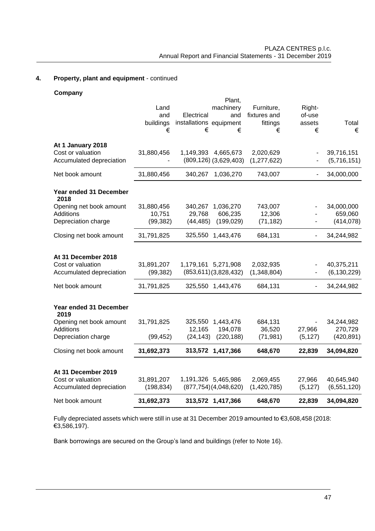#### **Company**

|                                 |            |                         | Plant,                       |              |                |               |
|---------------------------------|------------|-------------------------|------------------------------|--------------|----------------|---------------|
|                                 | Land       |                         | machinery                    | Furniture,   | Right-         |               |
|                                 | and        | Electrical              | and                          | fixtures and | of-use         |               |
|                                 | buildings  | installations equipment |                              | fittings     | assets         | Total         |
|                                 | €          | €                       | €                            | €            | €              | €             |
| At 1 January 2018               |            |                         |                              |              |                |               |
| Cost or valuation               | 31,880,456 | 1,149,393               | 4,665,673                    | 2,020,629    |                | 39,716,151    |
| Accumulated depreciation        |            |                         | $(809, 126)$ $(3, 629, 403)$ | (1,277,622)  |                | (5,716,151)   |
| Net book amount                 | 31,880,456 | 340,267                 | 1,036,270                    | 743,007      | $\blacksquare$ | 34,000,000    |
| Year ended 31 December          |            |                         |                              |              |                |               |
| 2018<br>Opening net book amount | 31,880,456 | 340,267                 | 1,036,270                    | 743,007      |                | 34,000,000    |
| Additions                       | 10,751     | 29,768                  | 606,235                      | 12,306       |                | 659,060       |
| Depreciation charge             | (99, 382)  | (44, 485)               | (199, 029)                   | (71, 182)    |                | (414, 078)    |
| Closing net book amount         | 31,791,825 | 325,550                 | 1,443,476                    | 684,131      | $\blacksquare$ | 34,244,982    |
|                                 |            |                         |                              |              |                |               |
| At 31 December 2018             |            |                         |                              |              |                |               |
| Cost or valuation               | 31,891,207 |                         | 1,179,161 5,271,908          | 2,032,935    |                | 40,375,211    |
| Accumulated depreciation        | (99, 382)  |                         | (853, 611)(3, 828, 432)      | (1,348,804)  |                | (6, 130, 229) |
| Net book amount                 | 31,791,825 |                         | 325,550 1,443,476            | 684,131      | $\blacksquare$ | 34,244,982    |
| Year ended 31 December          |            |                         |                              |              |                |               |
| 2019                            |            |                         |                              |              |                |               |
| Opening net book amount         | 31,791,825 | 325,550                 | 1,443,476                    | 684,131      |                | 34,244,982    |
| Additions                       |            | 12,165                  | 194,078                      | 36,520       | 27,966         | 270,729       |
| Depreciation charge             | (99, 452)  | (24, 143)               | (220, 188)                   | (71, 981)    | (5, 127)       | (420, 891)    |
| Closing net book amount         | 31,692,373 |                         | 313,572 1,417,366            | 648,670      | 22,839         | 34,094,820    |
|                                 |            |                         |                              |              |                |               |
| At 31 December 2019             |            |                         |                              |              |                |               |
| Cost or valuation               | 31,891,207 |                         | 1,191,326 5,465,986          | 2,069,455    | 27,966         | 40,645,940    |
| Accumulated depreciation        | (198, 834) |                         | (877, 754) (4, 048, 620)     | (1,420,785)  | (5, 127)       | (6, 551, 120) |
| Net book amount                 | 31,692,373 |                         | 313,572 1,417,366            | 648,670      | 22,839         | 34,094,820    |

Fully depreciated assets which were still in use at 31 December 2019 amounted to €3,608,458 (2018: €3,586,197).

Bank borrowings are secured on the Group's land and buildings (refer to Note 16).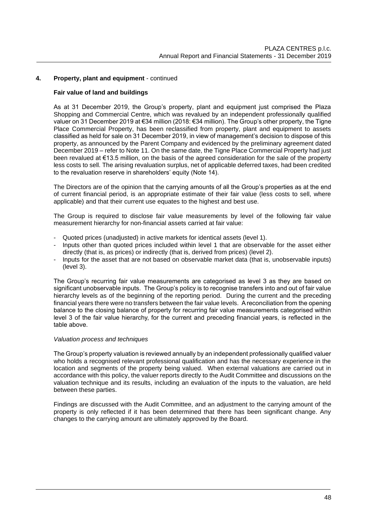#### **Fair value of land and buildings**

As at 31 December 2019, the Group's property, plant and equipment just comprised the Plaza Shopping and Commercial Centre, which was revalued by an independent professionally qualified valuer on 31 December 2019 at €34 million (2018: €34 million). The Group's other property, the Tigne Place Commercial Property, has been reclassified from property, plant and equipment to assets classified as held for sale on 31 December 2019, in view of management's decision to dispose of this property, as announced by the Parent Company and evidenced by the preliminary agreement dated December 2019 – refer to Note 11. On the same date, the Tigne Place Commercial Property had just been revalued at €13.5 million, on the basis of the agreed consideration for the sale of the property less costs to sell. The arising revaluation surplus, net of applicable deferred taxes, had been credited to the revaluation reserve in shareholders' equity (Note 14).

The Directors are of the opinion that the carrying amounts of all the Group's properties as at the end of current financial period, is an appropriate estimate of their fair value (less costs to sell, where applicable) and that their current use equates to the highest and best use.

The Group is required to disclose fair value measurements by level of the following fair value measurement hierarchy for non-financial assets carried at fair value:

- Quoted prices (unadjusted) in active markets for identical assets (level 1).
- Inputs other than quoted prices included within level 1 that are observable for the asset either directly (that is, as prices) or indirectly (that is, derived from prices) (level 2).
- Inputs for the asset that are not based on observable market data (that is, unobservable inputs) (level 3).

The Group's recurring fair value measurements are categorised as level 3 as they are based on significant unobservable inputs. The Group's policy is to recognise transfers into and out of fair value hierarchy levels as of the beginning of the reporting period. During the current and the preceding financial years there were no transfers between the fair value levels. A reconciliation from the opening balance to the closing balance of property for recurring fair value measurements categorised within level 3 of the fair value hierarchy, for the current and preceding financial years, is reflected in the table above.

#### *Valuation process and techniques*

The Group's property valuation is reviewed annually by an independent professionally qualified valuer who holds a recognised relevant professional qualification and has the necessary experience in the location and segments of the property being valued. When external valuations are carried out in accordance with this policy, the valuer reports directly to the Audit Committee and discussions on the valuation technique and its results, including an evaluation of the inputs to the valuation, are held between these parties.

Findings are discussed with the Audit Committee, and an adjustment to the carrying amount of the property is only reflected if it has been determined that there has been significant change. Any changes to the carrying amount are ultimately approved by the Board.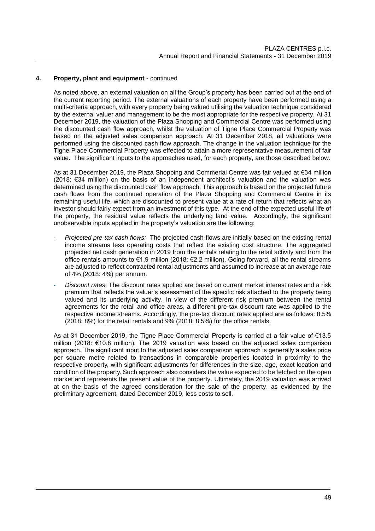As noted above, an external valuation on all the Group's property has been carried out at the end of the current reporting period. The external valuations of each property have been performed using a multi-criteria approach, with every property being valued utilising the valuation technique considered by the external valuer and management to be the most appropriate for the respective property. At 31 December 2019, the valuation of the Plaza Shopping and Commercial Centre was performed using the discounted cash flow approach, whilst the valuation of Tigne Place Commercial Property was based on the adjusted sales comparison approach. At 31 December 2018, all valuations were performed using the discounted cash flow approach. The change in the valuation technique for the Tigne Place Commercial Property was effected to attain a more representative measurement of fair value. The significant inputs to the approaches used, for each property, are those described below.

As at 31 December 2019, the Plaza Shopping and Commerial Centre was fair valued at €34 million (2018: €34 million) on the basis of an independent architect's valuation and the valuation was determined using the discounted cash flow approach. This approach is based on the projected future cash flows from the continued operation of the Plaza Shopping and Commercial Centre in its remaining useful life, which are discounted to present value at a rate of return that reflects what an investor should fairly expect from an investment of this type. At the end of the expected useful life of the property, the residual value reflects the underlying land value. Accordingly, the significant unobservable inputs applied in the property's valuation are the following:

- *Projected pre-tax cash flows:* The projected cash-flows are initially based on the existing rental income streams less operating costs that reflect the existing cost structure. The aggregated projected net cash generation in 2019 from the rentals relating to the retail activity and from the office rentals amounts to €1.9 million (2018: €2.2 million). Going forward, all the rental streams are adjusted to reflect contracted rental adjustments and assumed to increase at an average rate of 4% (2018: 4%) per annum.
- *Discount rates*: The discount rates applied are based on current market interest rates and a risk premium that reflects the valuer's assessment of the specific risk attached to the property being valued and its underlying activity. In view of the different risk premium between the rental agreements for the retail and office areas, a different pre-tax discount rate was applied to the respective income streams. Accordingly, the pre-tax discount rates applied are as follows: 8.5% (2018: 8%) for the retail rentals and 9% (2018: 8.5%) for the office rentals.

As at 31 December 2019, the Tigne Place Commercial Property is carried at a fair value of €13.5 million (2018: €10.8 million). The 2019 valuation was based on the adjusted sales comparison approach. The significant input to the adjusted sales comparison approach is generally a sales price per square metre related to transactions in comparable properties located in proximity to the respective property, with significant adjustments for differences in the size, age, exact location and condition of the property. Such approach also considers the value expected to be fetched on the open market and represents the present value of the property. Ultimately, the 2019 valuation was arrived at on the basis of the agreed consideration for the sale of the property, as evidenced by the preliminary agreement, dated December 2019, less costs to sell.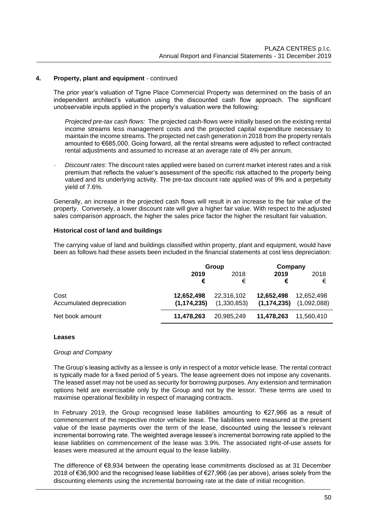The prior year's valuation of Tigne Place Commercial Property was determined on the basis of an independent architect's valuation using the discounted cash flow approach. The significant unobservable inputs applied in the property's valuation were the following:

*Projected pre-tax cash flows:* The projected cash-flows were initially based on the existing rental income streams less management costs and the projected capital expenditure necessary to maintain the income streams. The projected net cash generation in 2018 from the property rentals amounted to €685,000. Going forward, all the rental streams were adjusted to reflect contracted rental adjustments and assumed to increase at an average rate of 4% per annum.

- *Discount rates*: The discount rates applied were based on current market interest rates and a risk premium that reflects the valuer's assessment of the specific risk attached to the property being valued and its underlying activity. The pre-tax discount rate applied was of 9% and a perpetuity yield of 7.6%.

Generally, an increase in the projected cash flows will result in an increase to the fair value of the property. Conversely, a lower discount rate will give a higher fair value. With respect to the adjusted sales comparison approach, the higher the sales price factor the higher the resultant fair valuation.

#### **Historical cost of land and buildings**

The carrying value of land and buildings classified within property, plant and equipment, would have been as follows had these assets been included in the financial statements at cost less depreciation:

|                          |               | Group       | Company       |             |
|--------------------------|---------------|-------------|---------------|-------------|
|                          | 2019<br>2018  |             | 2019          | 2018        |
|                          | €             | €           | €             | €           |
| Cost                     | 12.652.498    | 22,316,102  | 12,652,498    | 12,652,498  |
| Accumulated depreciation | (1, 174, 235) | (1,330,853) | (1, 174, 235) | (1,092,088) |
| Net book amount          | 11,478,263    | 20.985.249  | 11,478,263    | 11.560.410  |

#### **Leases**

#### *Group and Company*

The Group's leasing activity as a lessee is only in respect of a motor vehicle lease. The rental contract is typically made for a fixed period of 5 years. The lease agreement does not impose any covenants. The leased asset may not be used as security for borrowing purposes. Any extension and termination options held are exercisable only by the Group and not by the lessor. These terms are used to maximise operational flexibility in respect of managing contracts.

In February 2019, the Group recognised lease liabilities amounting to €27,966 as a result of commencement of the respective motor vehicle lease. The liabilities were measured at the present value of the lease payments over the term of the lease, discounted using the lessee's relevant incremental borrowing rate. The weighted average lessee's incremental borrowing rate applied to the lease liabilities on commencement of the lease was 3.9%. The associated right-of-use assets for leases were measured at the amount equal to the lease liability.

The difference of €8,934 between the operating lease commitments disclosed as at 31 December 2018 of €36,900 and the recognised lease liabilities of €27,966 (as per above), arises solely from the discounting elements using the incremental borrowing rate at the date of initial recognition.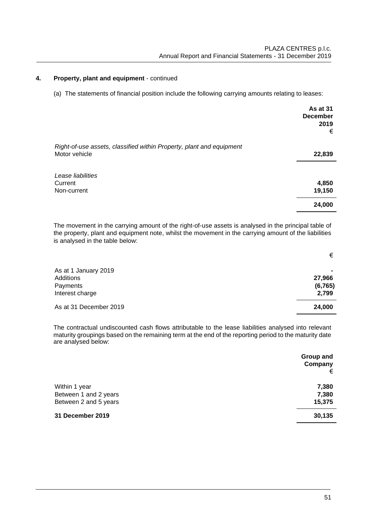(a) The statements of financial position include the following carrying amounts relating to leases:

|                                                                                       | <b>As at 31</b><br><b>December</b><br>2019<br>€ |
|---------------------------------------------------------------------------------------|-------------------------------------------------|
| Right-of-use assets, classified within Property, plant and equipment<br>Motor vehicle | 22,839                                          |
| Lease liabilities<br>Current<br>Non-current                                           | 4,850<br>19,150                                 |
|                                                                                       | 24,000                                          |

The movement in the carrying amount of the right-of-use assets is analysed in the principal table of the property, plant and equipment note, whilst the movement in the carrying amount of the liabilities is analysed in the table below:

|                        | €        |
|------------------------|----------|
| As at 1 January 2019   | ۰        |
| Additions              | 27,966   |
| Payments               | (6, 765) |
| Interest charge        | 2,799    |
| As at 31 December 2019 | 24,000   |

The contractual undiscounted cash flows attributable to the lease liabilities analysed into relevant maturity groupings based on the remaining term at the end of the reporting period to the maturity date are analysed below:

| Group and<br>Company<br>€ |
|---------------------------|
| 7,380                     |
| 7,380                     |
| 15,375                    |
| 30,135                    |
|                           |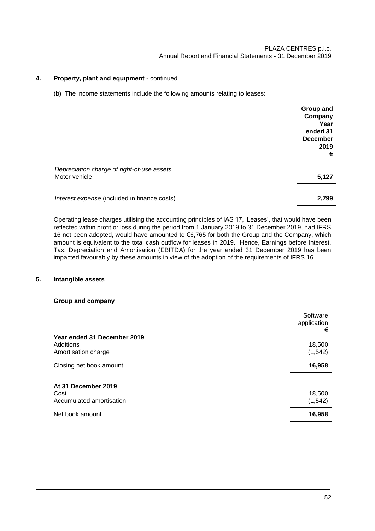(b) The income statements include the following amounts relating to leases:

|                                              | Group and<br>Company |
|----------------------------------------------|----------------------|
|                                              | Year<br>ended 31     |
|                                              | <b>December</b>      |
|                                              | 2019                 |
|                                              | €                    |
| Depreciation charge of right-of-use assets   |                      |
| Motor vehicle                                | 5,127                |
|                                              |                      |
| Interest expense (included in finance costs) | 2,799                |

Operating lease charges utilising the accounting principles of IAS 17, 'Leases', that would have been reflected within profit or loss during the period from 1 January 2019 to 31 December 2019, had IFRS 16 not been adopted, would have amounted to €6,765 for both the Group and the Company, which amount is equivalent to the total cash outflow for leases in 2019. Hence, Earnings before Interest, Tax, Depreciation and Amortisation (EBITDA) for the year ended 31 December 2019 has been impacted favourably by these amounts in view of the adoption of the requirements of IFRS 16.

### **5. Intangible assets**

## **Group and company**

|                             | Software<br>application |
|-----------------------------|-------------------------|
|                             | €                       |
| Year ended 31 December 2019 |                         |
| Additions                   | 18,500                  |
| Amortisation charge         | (1, 542)                |
| Closing net book amount     | 16,958                  |
| At 31 December 2019         |                         |
| Cost                        | 18,500                  |
| Accumulated amortisation    | (1, 542)                |
| Net book amount             | 16,958                  |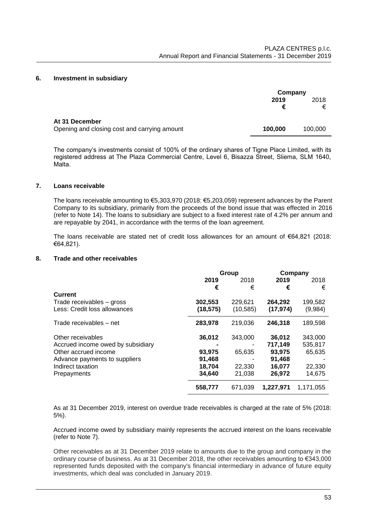#### **6. Investment in subsidiary**

|                                              | Company |         |
|----------------------------------------------|---------|---------|
|                                              | 2019    | 2018    |
|                                              |         |         |
| At 31 December                               |         |         |
| Opening and closing cost and carrying amount | 100,000 | 100,000 |

The company's investments consist of 100% of the ordinary shares of Tigne Place Limited, with its registered address at The Plaza Commercial Centre, Level 6, Bisazza Street, Sliema, SLM 1640, Malta.

#### **7. Loans receivable**

The loans receivable amounting to €5,303,970 (2018: €5,203,059) represent advances by the Parent Company to its subsidiary, primarily from the proceeds of the bond issue that was effected in 2016 (refer to Note 14). The loans to subsidiary are subject to a fixed interest rate of 4.2% per annum and are repayable by 2041, in accordance with the terms of the loan agreement.

The loans receivable are stated net of credit loss allowances for an amount of €64,821 (2018: €64,821).

#### **8. Trade and other receivables**

|                                   | Group     |           | Company   |           |
|-----------------------------------|-----------|-----------|-----------|-----------|
|                                   | 2019<br>€ | 2018<br>€ | 2019<br>€ | 2018<br>€ |
| Current                           |           |           |           |           |
| Trade receivables - gross         | 302,553   | 229,621   | 264,292   | 199,582   |
| Less: Credit loss allowances      | (18, 575) | (10, 585) | (17, 974) | (9,984)   |
| Trade receivables – net           | 283,978   | 219.036   | 246.318   | 189,598   |
| Other receivables                 | 36,012    | 343.000   | 36,012    | 343,000   |
| Accrued income owed by subsidiary |           |           | 717,149   | 535,817   |
| Other accrued income              | 93,975    | 65,635    | 93,975    | 65,635    |
| Advance payments to suppliers     | 91,468    |           | 91,468    |           |
| Indirect taxation                 | 18,704    | 22,330    | 16.077    | 22,330    |
| Prepayments                       | 34.640    | 21.038    | 26.972    | 14.675    |
|                                   | 558,777   | 671,039   | 1,227,971 | 1.171.055 |

As at 31 December 2019, interest on overdue trade receivables is charged at the rate of 5% (2018: 5%).

Accrued income owed by subsidiary mainly represents the accrued interest on the loans receivable (refer to Note 7).

Other receivables as at 31 December 2019 relate to amounts due to the group and company in the ordinary course of business. As at 31 December 2018, the other receivables amounting to €343,000 represented funds deposited with the company's financial intermediary in advance of future equity investments, which deal was concluded in January 2019.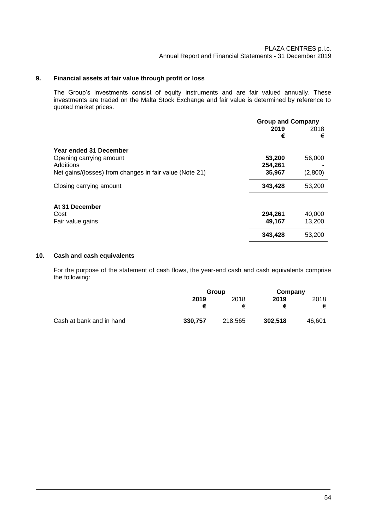#### **9. Financial assets at fair value through profit or loss**

The Group's investments consist of equity instruments and are fair valued annually. These investments are traded on the Malta Stock Exchange and fair value is determined by reference to quoted market prices.

|                                                         | <b>Group and Company</b> |         |  |
|---------------------------------------------------------|--------------------------|---------|--|
|                                                         | 2019                     | 2018    |  |
|                                                         | €                        | €       |  |
| Year ended 31 December                                  |                          |         |  |
| Opening carrying amount                                 | 53,200                   | 56,000  |  |
| Additions                                               | 254,261                  |         |  |
| Net gains/(losses) from changes in fair value (Note 21) | 35,967                   | (2,800) |  |
| Closing carrying amount                                 | 343,428                  | 53,200  |  |
| At 31 December                                          |                          |         |  |
| Cost                                                    | 294,261                  | 40,000  |  |
| Fair value gains                                        | 49,167                   | 13,200  |  |
|                                                         |                          |         |  |
|                                                         | 343,428                  | 53,200  |  |

#### **10. Cash and cash equivalents**

For the purpose of the statement of cash flows, the year-end cash and cash equivalents comprise the following:

|                          | Group   |           | Company   |           |
|--------------------------|---------|-----------|-----------|-----------|
|                          | 2019    | 2018<br>€ | 2019<br>ŧ | 2018<br>€ |
| Cash at bank and in hand | 330.757 | 218.565   | 302.518   | 46.601    |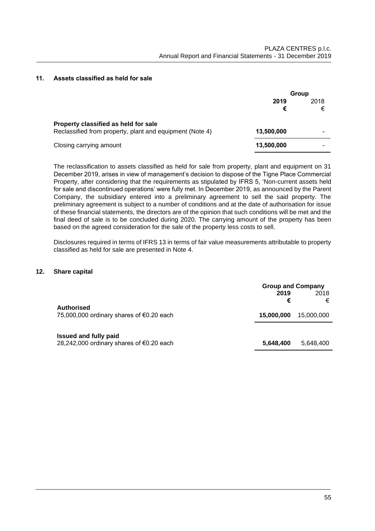#### **11. Assets classified as held for sale**

|                                                                                                  | Group      |           |
|--------------------------------------------------------------------------------------------------|------------|-----------|
|                                                                                                  | 2019<br>€  | 2018<br>€ |
| Property classified as held for sale<br>Reclassified from property, plant and equipment (Note 4) | 13,500,000 |           |
| Closing carrying amount                                                                          | 13,500,000 |           |

The reclassification to assets classified as held for sale from property, plant and equipment on 31 December 2019, arises in view of management's decision to dispose of the Tigne Place Commercial Property, after considering that the requirements as stipulated by IFRS 5, 'Non-current assets held for sale and discontinued operations' were fully met. In December 2019, as announced by the Parent Company, the subsidiary entered into a preliminary agreement to sell the said property. The preliminary agreement is subject to a number of conditions and at the date of authorisation for issue of these financial statements, the directors are of the opinion that such conditions will be met and the final deed of sale is to be concluded during 2020. The carrying amount of the property has been based on the agreed consideration for the sale of the property less costs to sell.

Disclosures required in terms of IFRS 13 in terms of fair value measurements attributable to property classified as held for sale are presented in Note 4.

#### **12. Share capital**

|                                                                          | <b>Group and Company</b><br>2019<br>€ | 2018<br>€  |
|--------------------------------------------------------------------------|---------------------------------------|------------|
| <b>Authorised</b><br>75,000,000 ordinary shares of €0.20 each            | 15,000,000                            | 15,000,000 |
| <b>Issued and fully paid</b><br>28,242,000 ordinary shares of €0.20 each | 5,648,400                             | 5.648.400  |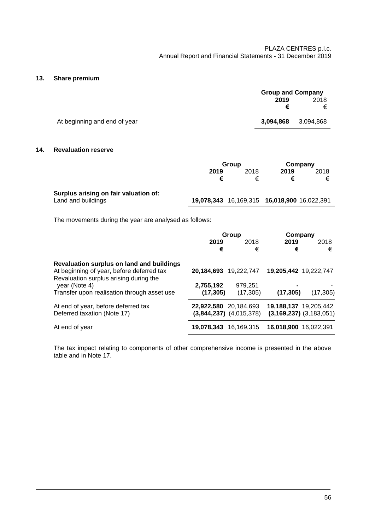## **13. Share premium**

|                              | <b>Group and Company</b><br>2019<br>2018 |           |
|------------------------------|------------------------------------------|-----------|
| At beginning and end of year | 3,094,868                                | 3,094,868 |

## **14. Revaluation reserve**

|                                       | Group |                                             | Company |      |
|---------------------------------------|-------|---------------------------------------------|---------|------|
|                                       | 2019  | 2018                                        | 2019    | 2018 |
|                                       |       |                                             |         |      |
| Surplus arising on fair valuation of: |       |                                             |         |      |
| Land and buildings                    |       | 19,078,343 16,169,315 16,018,900 16,022,391 |         |      |

The movements during the year are analysed as follows:

|                                                                                     | Group      |                             | Company               |                             |
|-------------------------------------------------------------------------------------|------------|-----------------------------|-----------------------|-----------------------------|
|                                                                                     | 2019       | 2018                        | 2019                  | 2018                        |
|                                                                                     | €          | €                           | €                     | €                           |
| Revaluation surplus on land and buildings                                           |            |                             |                       |                             |
| At beginning of year, before deferred tax<br>Revaluation surplus arising during the | 20.184.693 | 19.222.747                  | 19,205,442 19,222,747 |                             |
| year (Note 4)                                                                       | 2,755,192  | 979.251                     |                       |                             |
| Transfer upon realisation through asset use                                         | (17, 305)  | (17, 305)                   | (17, 305)             | (17, 305)                   |
| At end of year, before deferred tax                                                 | 22,922,580 | 20,184,693                  | 19,188,137 19,205,442 |                             |
| Deferred taxation (Note 17)                                                         |            | $(3,844,237)$ $(4,015,378)$ |                       | $(3,169,237)$ $(3,183,051)$ |
| At end of year                                                                      | 19.078.343 | 16.169.315                  | 16,018,900 16,022,391 |                             |

The tax impact relating to components of other comprehensive income is presented in the above table and in Note 17.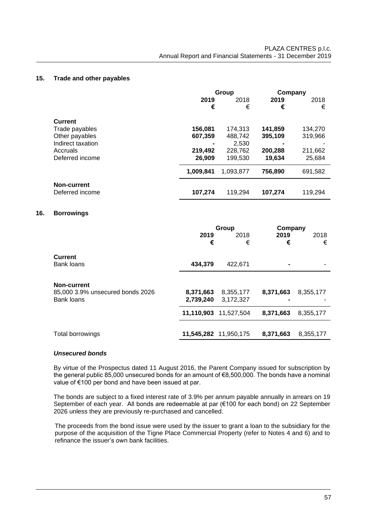#### **15. Trade and other payables**

|                   | Group     |           | Company |         |
|-------------------|-----------|-----------|---------|---------|
|                   | 2019      | 2018      | 2019    | 2018    |
|                   | €         | €         | €       | €       |
| <b>Current</b>    |           |           |         |         |
| Trade payables    | 156,081   | 174,313   | 141,859 | 134,270 |
| Other payables    | 607,359   | 488,742   | 395,109 | 319,966 |
| Indirect taxation |           | 2,530     |         |         |
| Accruals          | 219,492   | 228,762   | 200,288 | 211,662 |
| Deferred income   | 26,909    | 199,530   | 19,634  | 25,684  |
|                   | 1,009,841 | 1,093,877 | 756,890 | 691,582 |
| Non-current       |           |           |         |         |
| Deferred income   | 107,274   | 119,294   | 107,274 | 119,294 |
|                   |           |           |         |         |
| <b>Borrowings</b> |           |           |         |         |
|                   |           | Group     | Company |         |

|                                                 |            | שטוט                  | <b>COMPAIL</b> |           |
|-------------------------------------------------|------------|-----------------------|----------------|-----------|
|                                                 | 2019       | 2018                  | 2019           | 2018      |
|                                                 | €          | €                     | €              | €         |
| <b>Current</b><br><b>Bank loans</b>             | 434,379    | 422,671               |                |           |
| Non-current<br>85,000 3.9% unsecured bonds 2026 | 8,371,663  | 8,355,177             | 8,371,663      | 8,355,177 |
| <b>Bank loans</b>                               | 2,739,240  | 3,172,327             |                |           |
|                                                 | 11,110,903 | 11,527,504            | 8,371,663      | 8,355,177 |
| Total borrowings                                |            | 11,545,282 11,950,175 | 8,371,663      | 8,355,177 |
|                                                 |            |                       |                |           |

#### *Unsecured bonds*

**16. Borrowings**

By virtue of the Prospectus dated 11 August 2016, the Parent Company issued for subscription by the general public 85,000 unsecured bonds for an amount of €8,500,000. The bonds have a nominal value of €100 per bond and have been issued at par.

The bonds are subject to a fixed interest rate of 3.9% per annum payable annually in arrears on 19 September of each year. All bonds are redeemable at par (€100 for each bond) on 22 September 2026 unless they are previously re-purchased and cancelled.

The proceeds from the bond issue were used by the issuer to grant a loan to the subsidiary for the purpose of the acquisition of the Tigne Place Commercial Property (refer to Notes 4 and 6) and to refinance the issuer's own bank facilities.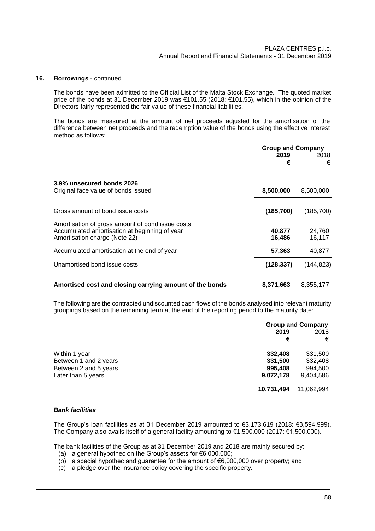#### **16. Borrowings** - continued

The bonds have been admitted to the Official List of the Malta Stock Exchange. The quoted market price of the bonds at 31 December 2019 was €101.55 (2018: €101.55), which in the opinion of the Directors fairly represented the fair value of these financial liabilities.

The bonds are measured at the amount of net proceeds adjusted for the amortisation of the difference between net proceeds and the redemption value of the bonds using the effective interest method as follows:

|                                                                                | <b>Group and Company</b> |                  |  |
|--------------------------------------------------------------------------------|--------------------------|------------------|--|
|                                                                                | 2019                     | 2018             |  |
|                                                                                | €                        | €                |  |
| 3.9% unsecured bonds 2026                                                      |                          |                  |  |
| Original face value of bonds issued                                            | 8,500,000                | 8.500.000        |  |
| Gross amount of bond issue costs                                               | (185,700)                | (185,700)        |  |
| Amortisation of gross amount of bond issue costs:                              |                          |                  |  |
| Accumulated amortisation at beginning of year<br>Amortisation charge (Note 22) | 40,877<br>16,486         | 24,760<br>16,117 |  |
| Accumulated amortisation at the end of year                                    | 57,363                   | 40,877           |  |
| Unamortised bond issue costs                                                   | (128, 337)               | (144, 823)       |  |
| Amortised cost and closing carrying amount of the bonds                        | 8,371,663                | 8,355,177        |  |

The following are the contracted undiscounted cash flows of the bonds analysed into relevant maturity groupings based on the remaining term at the end of the reporting period to the maturity date:

|                       |            | <b>Group and Company</b> |  |
|-----------------------|------------|--------------------------|--|
|                       | 2019       | 2018                     |  |
|                       | €          | €                        |  |
| Within 1 year         | 332,408    | 331,500                  |  |
| Between 1 and 2 years | 331,500    | 332,408                  |  |
| Between 2 and 5 years | 995,408    | 994,500                  |  |
| Later than 5 years    | 9,072,178  | 9,404,586                |  |
|                       | 10,731,494 | 11,062,994               |  |
|                       |            |                          |  |

#### *Bank facilities*

The Group's loan facilities as at 31 December 2019 amounted to €3,173,619 (2018: €3,594,999). The Company also avails itself of a general facility amounting to  $\epsilon$ 1,500,000 (2017:  $\epsilon$ 1,500,000).

The bank facilities of the Group as at 31 December 2019 and 2018 are mainly secured by:

- (a) a general hypothec on the Group's assets for €6,000,000;
- (b) a special hypothec and guarantee for the amount of €6,000,000 over property; and
- (c) a pledge over the insurance policy covering the specific property.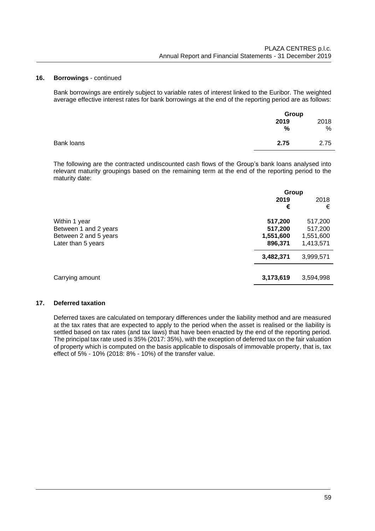#### **16. Borrowings** - continued

Bank borrowings are entirely subject to variable rates of interest linked to the Euribor. The weighted average effective interest rates for bank borrowings at the end of the reporting period are as follows:

|            |      | Group |  |
|------------|------|-------|--|
|            | 2019 | 2018  |  |
|            | %    | %     |  |
| Bank loans | 2.75 | 2.75  |  |

The following are the contracted undiscounted cash flows of the Group's bank loans analysed into relevant maturity groupings based on the remaining term at the end of the reporting period to the maturity date:

|                                                                                       | Group                                      |                                              |  |
|---------------------------------------------------------------------------------------|--------------------------------------------|----------------------------------------------|--|
|                                                                                       | 2019<br>€                                  | 2018<br>€                                    |  |
| Within 1 year<br>Between 1 and 2 years<br>Between 2 and 5 years<br>Later than 5 years | 517,200<br>517,200<br>1,551,600<br>896,371 | 517,200<br>517,200<br>1,551,600<br>1,413,571 |  |
|                                                                                       | 3,482,371                                  | 3,999,571                                    |  |
| Carrying amount                                                                       | 3,173,619                                  | 3,594,998                                    |  |

### **17. Deferred taxation**

Deferred taxes are calculated on temporary differences under the liability method and are measured at the tax rates that are expected to apply to the period when the asset is realised or the liability is settled based on tax rates (and tax laws) that have been enacted by the end of the reporting period. The principal tax rate used is 35% (2017: 35%), with the exception of deferred tax on the fair valuation of property which is computed on the basis applicable to disposals of immovable property, that is, tax effect of 5% - 10% (2018: 8% - 10%) of the transfer value.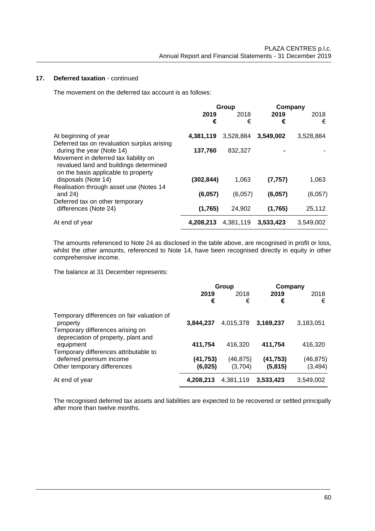#### **17. Deferred taxation** - continued

The movement on the deferred tax account is as follows:

|                                                                                                                                                     | Group      |           | Company   |           |
|-----------------------------------------------------------------------------------------------------------------------------------------------------|------------|-----------|-----------|-----------|
|                                                                                                                                                     | 2019<br>€  | 2018<br>€ | 2019<br>€ | 2018<br>€ |
| At beginning of year<br>Deferred tax on revaluation surplus arising                                                                                 | 4,381,119  | 3,528,884 | 3,549,002 | 3,528,884 |
| during the year (Note 14)<br>Movement in deferred tax liability on<br>revalued land and buildings determined<br>on the basis applicable to property | 137,760    | 832.327   |           |           |
| disposals (Note 14)<br>Realisation through asset use (Notes 14                                                                                      | (302, 844) | 1,063     | (7, 757)  | 1,063     |
| and $24$ )<br>Deferred tax on other temporary                                                                                                       | (6,057)    | (6,057)   | (6,057)   | (6,057)   |
| differences (Note 24)                                                                                                                               | (1,765)    | 24,902    | (1,765)   | 25,112    |
| At end of year                                                                                                                                      | 4,208,213  | 4,381,119 | 3,533,423 | 3,549,002 |

The amounts referenced to Note 24 as disclosed in the table above, are recognised in profit or loss, whilst the other amounts, referenced to Note 14, have been recognised directly in equity in other comprehensive income.

The balance at 31 December represents:

|                                                                         | Group     |           | Company   |           |
|-------------------------------------------------------------------------|-----------|-----------|-----------|-----------|
|                                                                         | 2019      | 2018      | 2019      | 2018      |
|                                                                         | €         | €         | €         | €         |
| Temporary differences on fair valuation of<br>property                  | 3.844.237 | 4,015,378 | 3.169.237 | 3,183,051 |
| Temporary differences arising on<br>depreciation of property, plant and |           |           |           |           |
| equipment<br>Temporary differences attributable to                      | 411,754   | 416.320   | 411.754   | 416.320   |
| deferred premium income                                                 | (41,753)  | (46, 875) | (41,753)  | (46, 875) |
| Other temporary differences                                             | (6,025)   | (3,704)   | (5, 815)  | (3, 494)  |
| At end of year                                                          | 4,208,213 | 4.381.119 | 3.533.423 | 3,549,002 |

The recognised deferred tax assets and liabilities are expected to be recovered or settled principally after more than twelve months.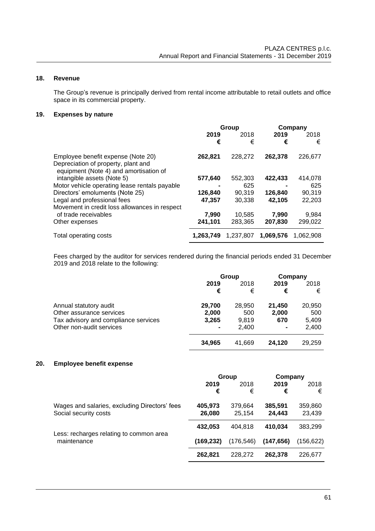#### **18. Revenue**

The Group's revenue is principally derived from rental income attributable to retail outlets and office space in its commercial property.

## **19. Expenses by nature**

|                                                                                                                     | Group     |           | Company   |           |
|---------------------------------------------------------------------------------------------------------------------|-----------|-----------|-----------|-----------|
|                                                                                                                     | 2019<br>€ | 2018<br>€ | 2019<br>€ | 2018<br>€ |
| Employee benefit expense (Note 20)<br>Depreciation of property, plant and<br>equipment (Note 4) and amortisation of | 262,821   | 228.272   | 262,378   | 226,677   |
| intangible assets (Note 5)                                                                                          | 577,640   | 552,303   | 422,433   | 414,078   |
| Motor vehicle operating lease rentals payable                                                                       |           | 625       |           | 625       |
| Directors' emoluments (Note 25)                                                                                     | 126,840   | 90.319    | 126,840   | 90,319    |
| Legal and professional fees                                                                                         | 47,357    | 30,338    | 42,105    | 22,203    |
| Movement in credit loss allowances in respect                                                                       |           |           |           |           |
| of trade receivables                                                                                                | 7,990     | 10.585    | 7,990     | 9,984     |
| Other expenses                                                                                                      | 241,101   | 283,365   | 207,830   | 299,022   |
| Total operating costs                                                                                               | 1.263.749 | 1.237.807 | 1.069.576 | 1.062.908 |

Fees charged by the auditor for services rendered during the financial periods ended 31 December 2019 and 2018 relate to the following:

|                                      | Group  |        | Company        |        |
|--------------------------------------|--------|--------|----------------|--------|
|                                      | 2019   | 2018   | 2019           | 2018   |
|                                      | €      | €      | €              | €      |
| Annual statutory audit               | 29,700 | 28,950 | 21.450         | 20,950 |
| Other assurance services             | 2,000  | 500    | 2,000          | 500    |
| Tax advisory and compliance services | 3,265  | 9,819  | 670            | 5,409  |
| Other non-audit services             |        | 2.400  | $\blacksquare$ | 2,400  |
|                                      | 34,965 | 41,669 | 24,120         | 29,259 |

## **20. Employee benefit expense**

|                                                        | Group     |            | Company    |            |
|--------------------------------------------------------|-----------|------------|------------|------------|
|                                                        | 2019      | 2018       | 2019       | 2018       |
|                                                        | €         | €          | €          | €          |
| Wages and salaries, excluding Directors' fees          | 405,973   | 379,664    | 385,591    | 359,860    |
| Social security costs                                  | 26,080    | 25,154     | 24,443     | 23,439     |
|                                                        | 432,053   | 404.818    | 410.034    | 383,299    |
| Less: recharges relating to common area<br>maintenance | (169,232) | (176, 546) | (147, 656) | (156, 622) |
|                                                        | 262,821   | 228,272    | 262,378    | 226,677    |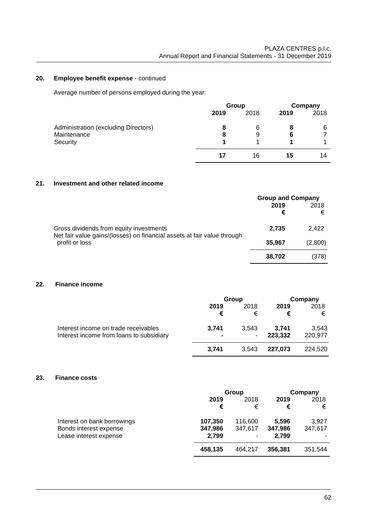## **20. Employee benefit expense** - continued

Average number of persons employed during the year:

|                                      | Group |      | Company |      |
|--------------------------------------|-------|------|---------|------|
|                                      | 2019  | 2018 | 2019    | 2018 |
| Administration (excluding Directors) | 8     | 6    | 8       | 6    |
| Maintenance                          | 8     | 9    | 6       |      |
| Security                             |       |      |         |      |
|                                      | 17    | 16   | 15      | 14   |

# **21. Investment and other related income**

|                                                                                                                                      | <b>Group and Company</b> |           |
|--------------------------------------------------------------------------------------------------------------------------------------|--------------------------|-----------|
|                                                                                                                                      | 2019<br>€                | 2018<br>€ |
| Gross dividends from equity investments<br>Net fair value gains/(losses) on financial assets at fair value through<br>profit or loss | 2,735                    | 2.422     |
|                                                                                                                                      | 35.967                   | (2,800)   |
|                                                                                                                                      | 38,702                   | (378)     |

## **22. Finance income**

|                                          | Group          |       | Company |         |
|------------------------------------------|----------------|-------|---------|---------|
|                                          | 2019           | 2018  | 2019    | 2018    |
|                                          | €              | €     | €       | €       |
| Interest income on trade receivables     | 3.741          | 3.543 | 3.741   | 3,543   |
| Interest income from loans to subsidiary | $\blacksquare$ | ۰     | 223,332 | 220,977 |
|                                          | 3,741          | 3.543 | 227,073 | 224,520 |

## **23. Finance costs**

|                                                                                 | Group                       |                         | Company                   |                  |
|---------------------------------------------------------------------------------|-----------------------------|-------------------------|---------------------------|------------------|
|                                                                                 | 2019<br>€                   | 2018<br>€               | 2019<br>€                 | 2018<br>€        |
| Interest on bank borrowings<br>Bonds interest expense<br>Lease interest expense | 107,350<br>347,986<br>2,799 | 116,600<br>347.617<br>۰ | 5,596<br>347,986<br>2,799 | 3,927<br>347,617 |
|                                                                                 | 458.135                     | 464.217                 | 356,381                   | 351,544          |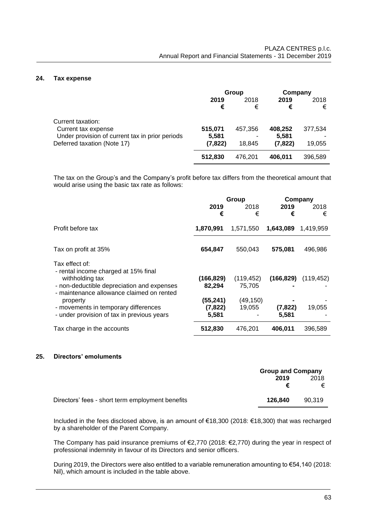#### **24. Tax expense**

|                                                                                                                            | Group                        |                   | Company                      |                   |
|----------------------------------------------------------------------------------------------------------------------------|------------------------------|-------------------|------------------------------|-------------------|
|                                                                                                                            | 2019<br>€                    | 2018<br>€         | 2019<br>€                    | 2018<br>€         |
| Current taxation:<br>Current tax expense<br>Under provision of current tax in prior periods<br>Deferred taxation (Note 17) | 515,071<br>5,581<br>(7, 822) | 457,356<br>18.845 | 408,252<br>5.581<br>(7, 822) | 377,534<br>19,055 |
|                                                                                                                            | 512,830                      | 476.201           | 406.011                      | 396,589           |

The tax on the Group's and the Company's profit before tax differs from the theoretical amount that would arise using the basic tax rate as follows:

|                                                                                                                                                                      | Group                         |                      | Company           |            |
|----------------------------------------------------------------------------------------------------------------------------------------------------------------------|-------------------------------|----------------------|-------------------|------------|
|                                                                                                                                                                      | 2019<br>€                     | 2018<br>€            | 2019<br>€         | 2018<br>€  |
| Profit before tax                                                                                                                                                    | 1,870,991                     | 1,571,550            | 1,643,089         | 1,419,959  |
| Tax on profit at 35%                                                                                                                                                 | 654,847                       | 550,043              | 575,081           | 496,986    |
| Tax effect of:<br>- rental income charged at 15% final<br>withholding tax<br>- non-deductible depreciation and expenses<br>- maintenance allowance claimed on rented | (166, 829)<br>82,294          | (119, 452)<br>75,705 | (166, 829)        | (119, 452) |
| property<br>- movements in temporary differences<br>- under provision of tax in previous years                                                                       | (55,241)<br>(7, 822)<br>5,581 | (49, 150)<br>19,055  | (7, 822)<br>5,581 | 19,055     |
| Tax charge in the accounts                                                                                                                                           | 512,830                       | 476,201              | 406,011           | 396,589    |

#### **25. Directors' emoluments**

|                                                  | <b>Group and Company</b> |        |  |
|--------------------------------------------------|--------------------------|--------|--|
|                                                  | 2018<br>2019             |        |  |
|                                                  |                          |        |  |
| Directors' fees - short term employment benefits | 126.840                  | 90.319 |  |

Included in the fees disclosed above, is an amount of €18,300 (2018: €18,300) that was recharged by a shareholder of the Parent Company.

The Company has paid insurance premiums of €2,770 (2018: €2,770) during the year in respect of professional indemnity in favour of its Directors and senior officers.

During 2019, the Directors were also entitled to a variable remuneration amounting to €54,140 (2018: Nil), which amount is included in the table above.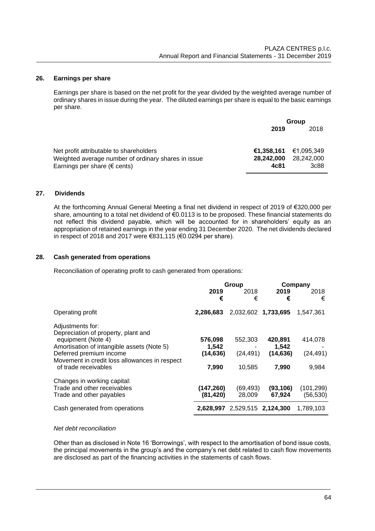#### **26. Earnings per share**

Earnings per share is based on the net profit for the year divided by the weighted average number of ordinary shares in issue during the year. The diluted earnings per share is equal to the basic earnings per share.

|                                                                                                | Group      |                                       |  |
|------------------------------------------------------------------------------------------------|------------|---------------------------------------|--|
|                                                                                                | 2019       | 2018                                  |  |
| Net profit attributable to shareholders<br>Weighted average number of ordinary shares in issue | 28,242,000 | €1,358,161 $€1,095,349$<br>28.242.000 |  |
| Earnings per share ( $\epsilon$ cents)                                                         | 4c81       | 3c88                                  |  |

#### **27. Dividends**

At the forthcoming Annual General Meeting a final net dividend in respect of 2019 of €320,000 per share, amounting to a total net dividend of €0.0113 is to be proposed. These financial statements do not reflect this dividend payable, which will be accounted for in shareholders' equity as an appropriation of retained earnings in the year ending 31 December 2020. The net dividends declared in respect of 2018 and 2017 were €831,115 (€0.0294 per share).

#### **28. Cash generated from operations**

Reconciliation of operating profit to cash generated from operations:

|                                                                          | Group            |                     | Company          |           |
|--------------------------------------------------------------------------|------------------|---------------------|------------------|-----------|
|                                                                          | 2019<br>€        | 2018<br>€           | 2019<br>€        | 2018<br>€ |
| Operating profit                                                         | 2.286.683        | 2,032,602 1,733,695 |                  | 1.547.361 |
| Adjustments for:<br>Depreciation of property, plant and                  |                  |                     |                  |           |
| equipment (Note 4)<br>Amortisation of intangible assets (Note 5)         | 576,098<br>1,542 | 552,303             | 420,891<br>1,542 | 414,078   |
| Deferred premium income<br>Movement in credit loss allowances in respect | (14,636)         | (24, 491)           | (14, 636)        | (24, 491) |
| of trade receivables                                                     | 7,990            | 10,585              | 7,990            | 9,984     |
| Changes in working capital:                                              |                  |                     |                  |           |
| Trade and other receivables                                              | (147, 260)       | (69, 493)           | (93, 106)        | (101,299) |
| Trade and other payables                                                 | (81,420)         | 28,009              | 67,924           | (56, 530) |
| Cash generated from operations                                           | 2,628,997        | 2,529,515 2,124,300 |                  | 1,789,103 |

#### *Net debt reconciliation*

Other than as disclosed in Note 16 'Borrowings', with respect to the amortisation of bond issue costs, the principal movements in the group's and the company's net debt related to cash flow movements are disclosed as part of the financing activities in the statements of cash flows.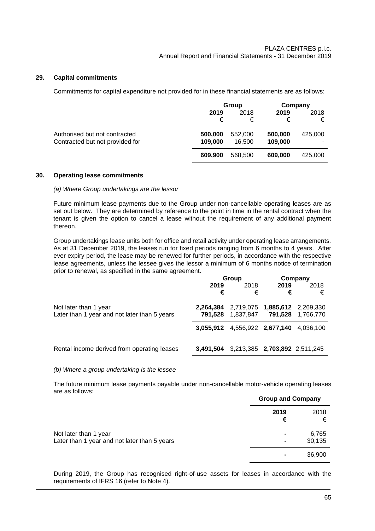#### **29. Capital commitments**

Commitments for capital expenditure not provided for in these financial statements are as follows:

|                                 | Group   |         | Company |         |
|---------------------------------|---------|---------|---------|---------|
|                                 | 2019    | 2018    | 2019    | 2018    |
|                                 | €       | €       | €       | €       |
| Authorised but not contracted   | 500,000 | 552,000 | 500,000 | 425,000 |
| Contracted but not provided for | 109,000 | 16.500  | 109.000 |         |
|                                 | 609.900 | 568,500 | 609,000 | 425,000 |

#### **30. Operating lease commitments**

#### *(a) Where Group undertakings are the lessor*

Future minimum lease payments due to the Group under non-cancellable operating leases are as set out below. They are determined by reference to the point in time in the rental contract when the tenant is given the option to cancel a lease without the requirement of any additional payment thereon.

Group undertakings lease units both for office and retail activity under operating lease arrangements. As at 31 December 2019, the leases run for fixed periods ranging from 6 months to 4 years. After ever expiry period, the lease may be renewed for further periods, in accordance with the respective lease agreements, unless the lessee gives the lessor a minimum of 6 months notice of termination prior to renewal, as specified in the same agreement.

|                                              | Group     |                               | Company             |           |
|----------------------------------------------|-----------|-------------------------------|---------------------|-----------|
|                                              | 2019      | 2018                          | 2019                | 2018      |
|                                              | €         | €                             | €                   | €         |
| Not later than 1 year                        | 2.264.384 | 2,719,075                     | 1,885,612           | 2,269,330 |
| Later than 1 year and not later than 5 years | 791.528   | 1,837,847                     | 791,528             | 1,766,770 |
|                                              | 3.055.912 |                               | 4,556,922 2,677,140 | 4.036.100 |
| Rental income derived from operating leases  | 3.491.504 | 3,213,385 2,703,892 2,511,245 |                     |           |
|                                              |           |                               |                     |           |

#### *(b) Where a group undertaking is the lessee*

The future minimum lease payments payable under non-cancellable motor-vehicle operating leases are as follows:

|                                                                       |           | <b>Group and Company</b> |  |  |
|-----------------------------------------------------------------------|-----------|--------------------------|--|--|
|                                                                       | 2019<br>€ | 2018<br>€                |  |  |
| Not later than 1 year<br>Later than 1 year and not later than 5 years | ٠<br>٠    | 6,765<br>30,135          |  |  |
|                                                                       | ۰         | 36,900                   |  |  |

During 2019, the Group has recognised right-of-use assets for leases in accordance with the requirements of IFRS 16 (refer to Note 4).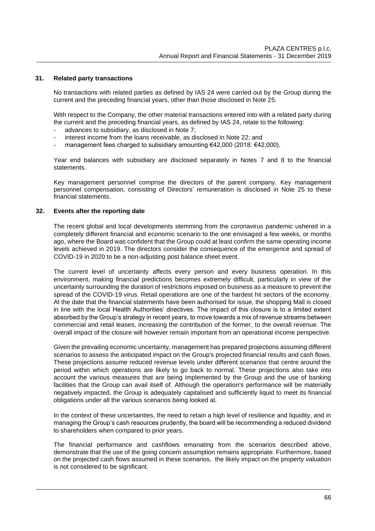#### **31. Related party transactions**

No transactions with related parties as defined by IAS 24 were carried out by the Group during the current and the preceding financial years, other than those disclosed in Note 25.

With respect to the Company, the other material transactions entered into with a related party during the current and the preceding financial years, as defined by IAS 24, relate to the following:

- advances to subsidiary, as disclosed in Note 7;
- interest income from the loans receivable, as disclosed in Note 22; and
- management fees charged to subsidiary amounting €42,000 (2018: €42,000).

Year end balances with subsidiary are disclosed separately in Notes 7 and 8 to the financial statements.

Key management personnel comprise the directors of the parent company. Key management personnel compensation, consisting of Directors' remuneration is disclosed in Note 25 to these financial statements.

#### **32. Events after the reporting date**

The recent global and local developments stemming from the coronavirus pandemic ushered in a completely different financial and economic scenario to the one envisaged a few weeks, or months ago, where the Board was confident that the Group could at least confirm the same operating income levels achieved in 2019. The directors consider the consequence of the emergence and spread of COVID-19 in 2020 to be a non-adjusting post balance sheet event.

The current level of uncertainty affects every person and every business operation. In this environment, making financial predictions becomes extremely difficult, particularly in view of the uncertainty surrounding the duration of restrictions imposed on business as a measure to prevent the spread of the COVID-19 virus. Retail operations are one of the hardest hit sectors of the economy. At the date that the financial statements have been authorised for issue, the shopping Mall is closed in line with the local Health Authorities' directives. The impact of this closure is to a limited extent absorbed by the Group's strategy in recent years, to move towards a mix of revenue streams between commercial and retail leases, increasing the contribution of the former, to the overall revenue. The overall impact of the closure will however remain important from an operational income perspective.

Given the prevailing economic uncertainty, management has prepared projections assuming different scenarios to assess the anticipated impact on the Group's projected financial results and cash flows. These projections assume reduced revenue levels under different scenarios that centre around the period within which operations are likely to go back to normal. These projections also take into account the various measures that are being implemented by the Group and the use of banking facilities that the Group can avail itself of. Although the operation's performance will be materially negatively impacted, the Group is adequately capitalised and sufficiently liquid to meet its financial obligations under all the various scenarios being looked at.

In the context of these uncertainties, the need to retain a high level of resilience and liquidity, and in managing the Group's cash resources prudently, the board will be recommending a reduced dividend to shareholders when compared to prior years.

The financial performance and cashflows emanating from the scenarios described above, demonstrate that the use of the going concern assumption remains appropriate. Furthermore, based on the projected cash flows assumed in these scenarios, the likely impact on the property valuation is not considered to be significant.